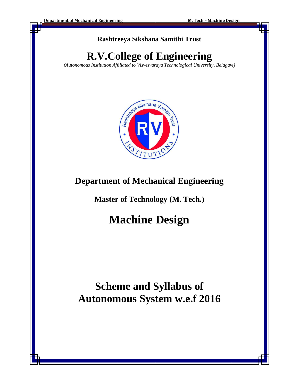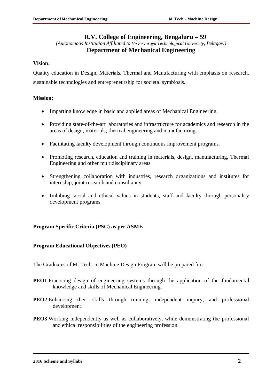# **R.V. College of Engineering, Bengaluru – 59**

*(Autonomous Institution Affiliated to Visvesvaraya Technological University, Belagavi)*

# **Department of Mechanical Engineering**

### **Vision:**

Quality education in Design, Materials, Thermal and Manufacturing with emphasis on research, sustainable technologies and entrepreneurship for societal symbiosis.

### **Mission:**

- Imparting knowledge in basic and applied areas of Mechanical Engineering.
- Providing state-of-the-art laboratories and infrastructure for academics and research in the areas of design, materials, thermal engineering and manufacturing.
- Facilitating faculty development through continuous improvement programs.
- Promoting research, education and training in materials, design, manufacturing, Thermal Engineering and other multidisciplinary areas.
- Strengthening collaboration with industries, research organizations and institutes for internship, joint research and consultancy.
- Imbibing social and ethical values in students, staff and faculty through personality development programs

## **Program Specific Criteria (PSC) as per ASME**

## **Program Educational Objectives (PEO)**

The Graduates of M. Tech. in Machine Design Program will be prepared for:

- **PEO1** Practicing design of engineering systems through the application of the fundamental knowledge and skills of Mechanical Engineering.
- **PEO2** Enhancing their skills through training, independent inquiry, and professional development.
- **PEO3** Working independently as well as collaboratively, while demonstrating the professional and ethical responsibilities of the engineering profession.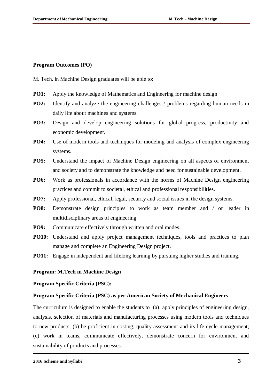#### **Program Outcomes (PO)**

M. Tech. in Machine Design graduates will be able to:

- **PO1:** Apply the knowledge of Mathematics and Engineering for machine design
- **PO2:** Identify and analyze the engineering challenges / problems regarding human needs in daily life about machines and systems.
- **PO3:** Design and develop engineering solutions for global progress, productivity and economic development.
- **PO4:** Use of modern tools and techniques for modeling and analysis of complex engineering systems.
- **PO5:** Understand the impact of Machine Design engineering on all aspects of environment and society and to demonstrate the knowledge and need for sustainable development.
- **PO6:** Work as professionals in accordance with the norms of Machine Design engineering practices and commit to societal, ethical and professional responsibilities.
- **PO7:** Apply professional, ethical, legal, security and social issues in the design systems.
- **PO8:** Demonstrate design principles to work as team member and / or leader in multidisciplinary areas of engineering
- **PO9:** Communicate effectively through written and oral modes.
- **PO10:** Understand and apply project management techniques, tools and practices to plan manage and complete an Engineering Design project.
- **PO11:** Engage in independent and lifelong learning by pursuing higher studies and training.

#### **Program: M.Tech in Machine Design**

#### **Program Specific Criteria (PSC):**

#### **Program Specific Criteria (PSC) as per American Society of Mechanical Engineers**

The curriculum is designed to enable the students to (a) apply principles of engineering design, analysis, selection of materials and manufacturing processes using modern tools and techniques to new products; (b) be proficient in costing, quality assessment and its life cycle management; (c) work in teams, communicate effectively, demonstrate concern for environment and sustainability of products and processes.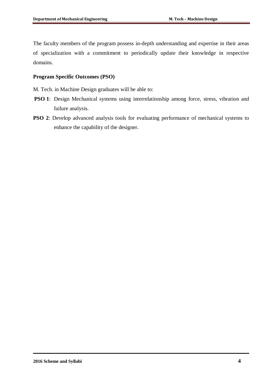The faculty members of the program possess in-depth understanding and expertise in their areas of specialization with a commitment to periodically update their knowledge in respective domains.

### **Program Specific Outcomes (PSO)**

M. Tech. in Machine Design graduates will be able to:

- **PSO 1**: Design Mechanical systems using interrelationship among force, stress, vibration and failure analysis.
- **PSO 2**: Develop advanced analysis tools for evaluating performance of mechanical systems to enhance the capability of the designer.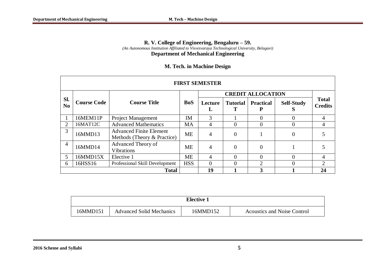#### **R. V. College of Engineering, Bengaluru – 59.** *(An Autonomous Institution Affiliated to Visvesvaraya Technological University, Belagavi)* **Department of Mechanical Engineering**

|                       | <b>FIRST SEMESTER</b> |                                                               |            |                |                 |                          |                        |                |  |  |  |  |  |
|-----------------------|-----------------------|---------------------------------------------------------------|------------|----------------|-----------------|--------------------------|------------------------|----------------|--|--|--|--|--|
|                       |                       |                                                               |            |                |                 | <b>CREDIT ALLOCATION</b> |                        | <b>Total</b>   |  |  |  |  |  |
| SI.<br>N <sub>0</sub> | <b>Course Code</b>    | <b>Course Title</b>                                           | <b>BoS</b> | Lecture<br>L   | <b>Tutorial</b> | <b>Practical</b>         | <b>Self-Study</b><br>D | <b>Credits</b> |  |  |  |  |  |
|                       | 16MEM11P              | <b>Project Management</b>                                     | IM         | 3              |                 | $\Omega$                 | $\Omega$               | 4              |  |  |  |  |  |
| 2                     | 16MAT12C              | <b>Advanced Mathematics</b>                                   | <b>MA</b>  | 4              | $\overline{0}$  | $\Omega$                 | $\theta$               | 4              |  |  |  |  |  |
| 3                     | 16MMD13               | <b>Advanced Finite Element</b><br>Methods (Theory & Practice) | <b>ME</b>  | 4              | $\Omega$        |                          | $\overline{0}$         |                |  |  |  |  |  |
| $\overline{4}$        | 16MMD14               | Advanced Theory of<br><b>Vibrations</b>                       | <b>ME</b>  | $\overline{4}$ | $\theta$        | $\theta$                 |                        |                |  |  |  |  |  |
| 5                     | 16MMD15X              | Elective 1                                                    | <b>ME</b>  | 4              | $\theta$        | $\Omega$                 | $\Omega$               | 4              |  |  |  |  |  |
| 6                     | 16HSS16               | Professional Skill Development                                | <b>HSS</b> | $\Omega$       | $\theta$        | $\mathcal{D}$            | $\Omega$               | $\mathfrak{2}$ |  |  |  |  |  |
|                       |                       | <b>Total</b>                                                  | 19         |                | 3               |                          | 24                     |                |  |  |  |  |  |

| <b>Elective 1</b> |                                 |          |                                    |  |  |  |  |  |
|-------------------|---------------------------------|----------|------------------------------------|--|--|--|--|--|
| 16MMD151          | <b>Advanced Solid Mechanics</b> | 16MMD152 | <b>Acoustics and Noise Control</b> |  |  |  |  |  |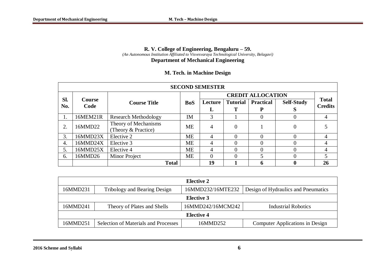#### **R. V. College of Engineering, Bengaluru – 59.** *(An Autonomous Institution Affiliated to Visvesvaraya Technological University, Belagavi)*

#### **Department of Mechanical Engineering**

|            |                       |                             |            | <b>SECOND SEMESTER</b> |                 |                          |                   |                                |
|------------|-----------------------|-----------------------------|------------|------------------------|-----------------|--------------------------|-------------------|--------------------------------|
|            | <b>Course</b><br>Code |                             |            |                        |                 | <b>CREDIT ALLOCATION</b> |                   |                                |
| SI.<br>No. |                       | <b>Course Title</b>         | <b>BoS</b> | Lecture                | <b>Tutorial</b> | <b>Practical</b>         | <b>Self-Study</b> | <b>Total</b><br><b>Credits</b> |
|            |                       |                             |            | L                      | Т               | P                        | D                 |                                |
|            | 16MEM21R              | <b>Research Methodology</b> | IM         | 3                      |                 | $\theta$                 | 0                 | 4                              |
| 2.         | 16MMD22               | Theory of Mechanisms        | <b>ME</b>  | 4                      | $\Omega$        |                          | $\theta$          |                                |
|            |                       | (Theory & Practice)         |            |                        |                 |                          |                   |                                |
| 3.         | 16MMD23X              | Elective 2                  | <b>ME</b>  | 4                      | $\Omega$        | $\theta$                 | $\Omega$          | 4                              |
| 4.         | 16MMD24X              | Elective 3                  | <b>ME</b>  | 4                      | $\Omega$        | $\Omega$                 | 0                 | 4                              |
| 5.         | 16MMD25X              | Elective 4                  | <b>ME</b>  | 4                      | $\Omega$        | $\Omega$                 | 0                 | 4                              |
| 6.         | 16MMD26               | Minor Project               | <b>ME</b>  | 0                      | $\Omega$        |                          | 0                 | 5                              |
|            |                       | <b>Total</b>                |            | 19                     |                 | 6                        |                   | 26                             |

|          | Elective 2                                  |                                                          |                                 |  |  |  |  |  |  |  |  |  |
|----------|---------------------------------------------|----------------------------------------------------------|---------------------------------|--|--|--|--|--|--|--|--|--|
| 16MMD231 | Tribology and Bearing Design                | 16MMD232/16MTE232<br>Design of Hydraulics and Pneumatics |                                 |  |  |  |  |  |  |  |  |  |
|          | Elective 3                                  |                                                          |                                 |  |  |  |  |  |  |  |  |  |
| 16MMD241 | Theory of Plates and Shells                 | 16MMD242/16MCM242                                        | Industrial Robotics             |  |  |  |  |  |  |  |  |  |
|          |                                             | <b>Elective 4</b>                                        |                                 |  |  |  |  |  |  |  |  |  |
| 16MMD251 | <b>Selection of Materials and Processes</b> | 16MMD252                                                 | Computer Applications in Design |  |  |  |  |  |  |  |  |  |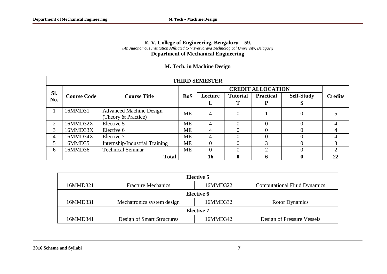#### **R. V. College of Engineering, Bengaluru – 59.** *(An Autonomous Institution Affiliated to Visvesvaraya Technological University, Belagavi)* **Department of Mechanical Engineering**

|                             | <b>THIRD SEMESTER</b> |                                |            |                |                 |                          |                   |                |  |  |  |  |  |
|-----------------------------|-----------------------|--------------------------------|------------|----------------|-----------------|--------------------------|-------------------|----------------|--|--|--|--|--|
|                             |                       |                                |            |                |                 | <b>CREDIT ALLOCATION</b> |                   |                |  |  |  |  |  |
| Sl.<br>No.                  | <b>Course Code</b>    | <b>Course Title</b>            | <b>BoS</b> | Lecture        | <b>Tutorial</b> | <b>Practical</b>         | <b>Self-Study</b> | <b>Credits</b> |  |  |  |  |  |
|                             |                       |                                |            | L              |                 |                          |                   |                |  |  |  |  |  |
|                             | 16MMD31               | <b>Advanced Machine Design</b> | <b>ME</b>  | 4              | $\theta$        |                          |                   |                |  |  |  |  |  |
|                             |                       | (Theory & Practice)            |            |                |                 |                          |                   |                |  |  |  |  |  |
| $\mathcal{D}_{\mathcal{L}}$ | 16MMD32X              | Elective 5                     | <b>ME</b>  | 4              |                 |                          |                   |                |  |  |  |  |  |
| 3                           | 16MMD33X              | Elective 6                     | <b>ME</b>  | 4              |                 | $\Omega$                 |                   |                |  |  |  |  |  |
| 4                           | 16MMD34X              | Elective 7                     | <b>ME</b>  | $\overline{4}$ |                 |                          |                   |                |  |  |  |  |  |
| 5                           | 16MMD35               | Internship/Industrial Training | <b>ME</b>  | $\Omega$       |                 | 3                        |                   |                |  |  |  |  |  |
| 6                           | 16MMD36               | <b>Technical Seminar</b>       | <b>ME</b>  | 0              |                 | ◠                        |                   |                |  |  |  |  |  |
|                             |                       | <b>Total</b>                   |            | 16             |                 | n                        |                   | 22             |  |  |  |  |  |

|          | <b>Elective 5</b>                                                            |          |                            |  |  |  |  |  |  |  |  |
|----------|------------------------------------------------------------------------------|----------|----------------------------|--|--|--|--|--|--|--|--|
| 16MMD321 | 16MMD322<br><b>Computational Fluid Dynamics</b><br><b>Fracture Mechanics</b> |          |                            |  |  |  |  |  |  |  |  |
|          | Elective 6                                                                   |          |                            |  |  |  |  |  |  |  |  |
| 16MMD331 | Mechatronics system design                                                   | 16MMD332 | <b>Rotor Dynamics</b>      |  |  |  |  |  |  |  |  |
|          | <b>Elective 7</b>                                                            |          |                            |  |  |  |  |  |  |  |  |
| 16MMD341 | Design of Smart Structures                                                   | 16MMD342 | Design of Pressure Vessels |  |  |  |  |  |  |  |  |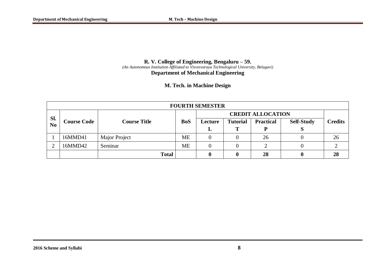#### **R. V. College of Engineering, Bengaluru – 59.** *(An Autonomous Institution Affiliated to Visvesvaraya Technological University, Belagavi)* **Department of Mechanical Engineering**

|                       | <b>FOURTH SEMESTER</b> |                     |            |                          |                 |                  |                   |                |  |  |  |  |
|-----------------------|------------------------|---------------------|------------|--------------------------|-----------------|------------------|-------------------|----------------|--|--|--|--|
|                       | <b>Course Code</b>     |                     |            | <b>CREDIT ALLOCATION</b> |                 |                  |                   |                |  |  |  |  |
| SI.<br>N <sub>o</sub> |                        | <b>Course Title</b> | <b>BoS</b> | Lecture                  | <b>Tutorial</b> | <b>Practical</b> | <b>Self-Study</b> | <b>Credits</b> |  |  |  |  |
|                       |                        |                     |            | ┻                        |                 | D                |                   |                |  |  |  |  |
|                       | 16MMD41                | Major Project       | <b>ME</b>  |                          | $\Omega$        | 26               |                   | 26             |  |  |  |  |
|                       | 16MMD42                | Seminar             | <b>ME</b>  |                          | 0               |                  |                   |                |  |  |  |  |
|                       |                        | <b>Total</b>        |            |                          | 0               | 28               |                   | 28             |  |  |  |  |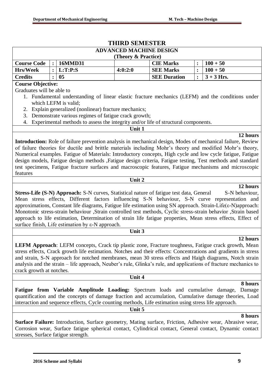|                                                                                                                                                                                                                                                                                                                                                                                     |  |                                                  | <b>THIRD SEMESTER</b>                                                       |                                                                                                                                                                                          |                |                                                                                                                                                                                                                                                                                                                                                                                                                                                                                                                                                                                                                                                                                                                                                                                                                                                                                                                                                                                                                                                                      |
|-------------------------------------------------------------------------------------------------------------------------------------------------------------------------------------------------------------------------------------------------------------------------------------------------------------------------------------------------------------------------------------|--|--------------------------------------------------|-----------------------------------------------------------------------------|------------------------------------------------------------------------------------------------------------------------------------------------------------------------------------------|----------------|----------------------------------------------------------------------------------------------------------------------------------------------------------------------------------------------------------------------------------------------------------------------------------------------------------------------------------------------------------------------------------------------------------------------------------------------------------------------------------------------------------------------------------------------------------------------------------------------------------------------------------------------------------------------------------------------------------------------------------------------------------------------------------------------------------------------------------------------------------------------------------------------------------------------------------------------------------------------------------------------------------------------------------------------------------------------|
|                                                                                                                                                                                                                                                                                                                                                                                     |  |                                                  | <b>ADVANCED MACHINE DESIGN</b>                                              |                                                                                                                                                                                          |                |                                                                                                                                                                                                                                                                                                                                                                                                                                                                                                                                                                                                                                                                                                                                                                                                                                                                                                                                                                                                                                                                      |
| 16MMD31<br><b>Course Code</b><br>$\ddot{\cdot}$<br>L:T:P:S<br><b>Hrs/Week</b><br>$\ddot{\cdot}$<br><b>Credits</b><br>0 <sub>5</sub><br><b>Course Objective:</b><br>Graduates will be able to<br>1. Fundamental understanding of linear elastic fracture mechanics (LEFM) and the conditions under<br>which LEFM is valid;<br>2. Explain generalized (nonlinear) fracture mechanics; |  | (Theory & Practice)                              | <b>CIE Marks</b>                                                            |                                                                                                                                                                                          | $100 + 50$     |                                                                                                                                                                                                                                                                                                                                                                                                                                                                                                                                                                                                                                                                                                                                                                                                                                                                                                                                                                                                                                                                      |
|                                                                                                                                                                                                                                                                                                                                                                                     |  |                                                  | 4:0:2:0                                                                     | <b>SEE Marks</b>                                                                                                                                                                         | $\ddot{\cdot}$ | $100 + 50$                                                                                                                                                                                                                                                                                                                                                                                                                                                                                                                                                                                                                                                                                                                                                                                                                                                                                                                                                                                                                                                           |
|                                                                                                                                                                                                                                                                                                                                                                                     |  |                                                  |                                                                             | <b>SEE Duration</b>                                                                                                                                                                      | $\ddot{\cdot}$ | $3 + 3$ Hrs.                                                                                                                                                                                                                                                                                                                                                                                                                                                                                                                                                                                                                                                                                                                                                                                                                                                                                                                                                                                                                                                         |
|                                                                                                                                                                                                                                                                                                                                                                                     |  |                                                  |                                                                             |                                                                                                                                                                                          |                |                                                                                                                                                                                                                                                                                                                                                                                                                                                                                                                                                                                                                                                                                                                                                                                                                                                                                                                                                                                                                                                                      |
| features                                                                                                                                                                                                                                                                                                                                                                            |  |                                                  | 3. Demonstrate various regimes of fatigue crack growth;<br>Unit 1<br>Unit 2 | 4. Experimental methods to assess the integrity and/or life of structural components.<br><b>Stress-Life (S-N) Approach:</b> S-N curves, Statistical nature of fatigue test data, General |                | 12 hours<br><b>Introduction:</b> Role of failure prevention analysis in mechanical design, Modes of mechanical failure, Review<br>of failure theories for ductile and brittle materials including Mohr's theory and modified Mohr's theory,<br>Numerical examples. Fatigue of Materials: Introductory concepts, High cycle and low cycle fatigue, Fatigue<br>design models, Fatigue design methods , Fatigue design criteria, Fatigue testing, Test methods and standard<br>test specimens, Fatigue fracture surfaces and macroscopic features, Fatigue mechanisms and microscopic<br>12 hours<br>S-N behaviour,<br>Mean stress effects, Different factors influencing S-N behaviour, S-N curve representation and<br>approximations, Constant life diagrams, Fatigue life estimation using SN approach. Strain-Life(ε-N)approach:<br>Monotonic stress-strain behaviour ,Strain controlled test methods, Cyclic stress-strain behavior ,Strain based<br>approach to life estimation, Determination of strain life fatigue properties, Mean stress effects, Effect of |
|                                                                                                                                                                                                                                                                                                                                                                                     |  | surface finish, Life estimation by ε-N approach. |                                                                             |                                                                                                                                                                                          |                |                                                                                                                                                                                                                                                                                                                                                                                                                                                                                                                                                                                                                                                                                                                                                                                                                                                                                                                                                                                                                                                                      |
|                                                                                                                                                                                                                                                                                                                                                                                     |  |                                                  | Unit 3                                                                      |                                                                                                                                                                                          |                |                                                                                                                                                                                                                                                                                                                                                                                                                                                                                                                                                                                                                                                                                                                                                                                                                                                                                                                                                                                                                                                                      |
| crack growth at notches.                                                                                                                                                                                                                                                                                                                                                            |  |                                                  |                                                                             |                                                                                                                                                                                          |                | 12 hours<br><b>LEFM Approach:</b> LEFM concepts, Crack tip plastic zone, Fracture toughness, Fatigue crack growth, Mean<br>stress effects, Crack growth life estimation. Notches and their effects: Concentrations and gradients in stress<br>and strain, S-N approach for notched membranes, mean 30 stress effects and Haigh diagrams, Notch strain<br>analysis and the strain – life approach, Neuber's rule, Glinka's rule, and applications of fracture mechanics to                                                                                                                                                                                                                                                                                                                                                                                                                                                                                                                                                                                            |
|                                                                                                                                                                                                                                                                                                                                                                                     |  |                                                  |                                                                             |                                                                                                                                                                                          |                |                                                                                                                                                                                                                                                                                                                                                                                                                                                                                                                                                                                                                                                                                                                                                                                                                                                                                                                                                                                                                                                                      |
|                                                                                                                                                                                                                                                                                                                                                                                     |  |                                                  | Unit 4                                                                      |                                                                                                                                                                                          |                |                                                                                                                                                                                                                                                                                                                                                                                                                                                                                                                                                                                                                                                                                                                                                                                                                                                                                                                                                                                                                                                                      |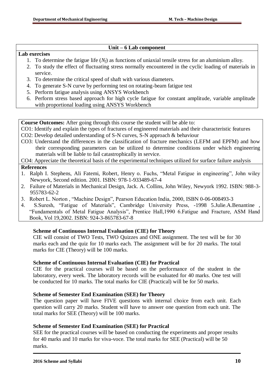### **Unit – 6 Lab component**

#### **Lab exercises**

- 1. To determine the fatigue life  $(N_f)$  as functions of uniaxial tensile stress for an aluminium alloy.
- 2. To study the effect of fluctuating stress normally encountered in the cyclic loading of materials in service.
- 3. To determine the critical speed of shaft with various diameters.
- 4. To generate S-N curve by performing test on rotating-beam fatigue test
- 5. Perform fatigue analysis using ANSYS Workbench
- 6. Perform stress based approach for high cycle fatigue for constant amplitude, variable amplitude with proportional loading using ANSYS Workbench

**Course Outcomes:** After going through this course the student will be able to:

- CO1: Identify and explain the types of fractures of engineered materials and their characteristic features
- CO2: Develop detailed understanding of S-N curves, S-N approach & behaviour
- CO3: Understand the differences in the classification of fracture mechanics (LEFM and EPFM) and how their corresponding parameters can be utilized to determine conditions under which engineering materials will be liable to fail catastrophically in service.

CO4: Appreciate the theoretical basis of the experimental techniques utilized for surface failure analysis

### **References**

- 1. Ralph I. Stephens, Ali Fatemi, Robert, Henry o. Fuchs, "Metal Fatigue in engineering", John wiley Newyork, Second edition. 2001. ISBN: 978-1-933489-67-4
- 2. Failure of Materials in Mechanical Design, Jack. A. Collins, John Wiley, Newyork 1992. ISBN: 988-3- 955783-62-2
- 3. Robert L. Norton , "Machine Design", Pearson Education India, 2000, ISBN 0-06-008493-3
- 4. S.Suresh, "Fatigue of Materials", Cambridge University Press, -1998 5.Julie.A.Benantine , "Fundamentals of Metal Fatigue Analysis", Prentice Hall,1990 6.Fatigue and Fracture, ASM Hand Book, Vol 19,2002. ISBN: 924-3-865783-67-8

### **Scheme of Continuous Internal Evaluation (CIE) for Theory**

CIE will consist of TWO Tests, TWO Quizzes and ONE assignment. The test will be for 30 marks each and the quiz for 10 marks each. The assignment will be for 20 marks. The total marks for CIE (Theory) will be 100 marks.

### **Scheme of Continuous Internal Evaluation (CIE) for Practical**

CIE for the practical courses will be based on the performance of the student in the laboratory, every week. The laboratory records will be evaluated for 40 marks. One test will be conducted for 10 marks. The total marks for CIE (Practical) will be for 50 marks.

### **Scheme of Semester End Examination (SEE) for Theory**

The question paper will have FIVE questions with internal choice from each unit. Each question will carry 20 marks. Student will have to answer one question from each unit. The total marks for SEE (Theory) will be 100 marks.

### **Scheme of Semester End Examination (SEE) for Practical**

SEE for the practical courses will be based on conducting the experiments and proper results for 40 marks and 10 marks for viva-voce. The total marks for SEE (Practical) will be 50 marks.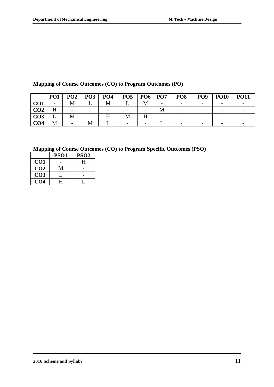|                 | PO <sub>1</sub>          | PO <sub>2</sub>          | PO <sub>3</sub>          | PO <sub>4</sub>          | PO <sub>5</sub>          | <b>PO6</b>               | PO <sub>7</sub> | PO <sub>8</sub>              | PO <sub>9</sub>          | <b>PO10</b>              | <b>PO11</b> |
|-----------------|--------------------------|--------------------------|--------------------------|--------------------------|--------------------------|--------------------------|-----------------|------------------------------|--------------------------|--------------------------|-------------|
| CO <sub>1</sub> | $\overline{\phantom{a}}$ | IVI                      |                          | M                        |                          |                          | -               | $\qquad \qquad \blacksquare$ | $\overline{\phantom{0}}$ |                          |             |
| CO <sub>2</sub> | H                        | $\overline{\phantom{0}}$ | $\overline{\phantom{0}}$ | $\overline{\phantom{0}}$ | $\overline{\phantom{0}}$ | $\overline{\phantom{a}}$ | М               | $\overline{\phantom{m}}$     | $\overline{\phantom{0}}$ | $\overline{\phantom{0}}$ |             |
| CO <sub>3</sub> | ∸                        | M                        | $\overline{\phantom{0}}$ | ТТ<br>п                  |                          | тт                       | -               | $\overline{\phantom{a}}$     | $\overline{\phantom{a}}$ | $\overline{\phantom{0}}$ |             |
| CO <sub>4</sub> | M                        |                          |                          |                          | -                        | $\overline{\phantom{0}}$ |                 | $\overline{\phantom{0}}$     |                          |                          |             |

# **Mapping of Course Outcomes (CO) to Program Outcomes (PO)**

|                 | PSO <sub>1</sub> | PSO <sub>2</sub> |
|-----------------|------------------|------------------|
| CO <sub>1</sub> |                  | H                |
| CO <sub>2</sub> | М                |                  |
| CO <sub>3</sub> |                  |                  |
| CO4             | H                |                  |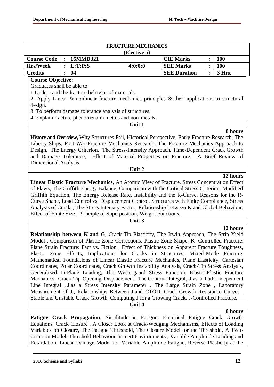|                                                         |                                                                                                               |                                                                                                                                                                                               | <b>FRACTURE MECHANICS</b> |                     |   |            |  |  |  |  |  |
|---------------------------------------------------------|---------------------------------------------------------------------------------------------------------------|-----------------------------------------------------------------------------------------------------------------------------------------------------------------------------------------------|---------------------------|---------------------|---|------------|--|--|--|--|--|
|                                                         |                                                                                                               |                                                                                                                                                                                               | (Elective 5)              |                     |   |            |  |  |  |  |  |
| <b>Course Code</b>                                      | $\ddot{\cdot}$                                                                                                | 16MMD321                                                                                                                                                                                      |                           | <b>CIE Marks</b>    | : | <b>100</b> |  |  |  |  |  |
| <b>Hrs/Week</b>                                         | :                                                                                                             | L:T:P: S                                                                                                                                                                                      | 4:0:0:0                   | <b>SEE Marks</b>    | : | <b>100</b> |  |  |  |  |  |
| <b>Credits</b>                                          |                                                                                                               | 04                                                                                                                                                                                            |                           | <b>SEE Duration</b> |   | 3 Hrs.     |  |  |  |  |  |
| <b>Course Objective:</b>                                |                                                                                                               |                                                                                                                                                                                               |                           |                     |   |            |  |  |  |  |  |
| Graduates shall be able to                              |                                                                                                               |                                                                                                                                                                                               |                           |                     |   |            |  |  |  |  |  |
|                                                         |                                                                                                               | 1. Understand the fracture behavior of materials.                                                                                                                                             |                           |                     |   |            |  |  |  |  |  |
|                                                         |                                                                                                               | 2. Apply Linear & nonlinear fracture mechanics principles & their applications to structural                                                                                                  |                           |                     |   |            |  |  |  |  |  |
| design.                                                 |                                                                                                               |                                                                                                                                                                                               |                           |                     |   |            |  |  |  |  |  |
| 3. To perform damage tolerance analysis of structures.  |                                                                                                               |                                                                                                                                                                                               |                           |                     |   |            |  |  |  |  |  |
| 4. Explain fracture phenomena in metals and non-metals. |                                                                                                               |                                                                                                                                                                                               |                           |                     |   |            |  |  |  |  |  |
|                                                         | Unit 1                                                                                                        |                                                                                                                                                                                               |                           |                     |   |            |  |  |  |  |  |
|                                                         |                                                                                                               |                                                                                                                                                                                               |                           |                     |   | 8 hours    |  |  |  |  |  |
|                                                         |                                                                                                               | History and Overview, Why Structures Fail, Historical Perspective, Early Fracture Research, The                                                                                               |                           |                     |   |            |  |  |  |  |  |
|                                                         |                                                                                                               | Liberty Ships, Post-War Fracture Mechanics Research, The Fracture Mechanics Approach to                                                                                                       |                           |                     |   |            |  |  |  |  |  |
|                                                         |                                                                                                               | Design, The Energy Criterion, The Stress-Intensity Approach, Time-Dependent Crack Growth                                                                                                      |                           |                     |   |            |  |  |  |  |  |
|                                                         |                                                                                                               | and Damage Tolerance, Effect of Material Properties on Fracture, A Brief Review of                                                                                                            |                           |                     |   |            |  |  |  |  |  |
|                                                         | Dimensional Analysis.                                                                                         |                                                                                                                                                                                               |                           |                     |   |            |  |  |  |  |  |
|                                                         |                                                                                                               |                                                                                                                                                                                               | Unit 2                    |                     |   |            |  |  |  |  |  |
|                                                         | 12 hours<br><b>Linear Elastic Fracture Mechanics, An Atomic View of Fracture, Stress Concentration Effect</b> |                                                                                                                                                                                               |                           |                     |   |            |  |  |  |  |  |
|                                                         |                                                                                                               |                                                                                                                                                                                               |                           |                     |   |            |  |  |  |  |  |
|                                                         |                                                                                                               | of Flaws, The Griffith Energy Balance, Comparison with the Critical Stress Criterion, Modified<br>Griffith Equation, The Energy Release Rate, Instability and the R-Curve, Reasons for the R- |                           |                     |   |            |  |  |  |  |  |
|                                                         |                                                                                                               | Curve Shape, Load Control vs. Displacement Control, Structures with Finite Compliance, Stress                                                                                                 |                           |                     |   |            |  |  |  |  |  |
|                                                         |                                                                                                               | Analysis of Cracks, The Stress Intensity Factor, Relationship between K and Global Behaviour,                                                                                                 |                           |                     |   |            |  |  |  |  |  |
|                                                         |                                                                                                               | Effect of Finite Size, Principle of Superposition, Weight Functions.                                                                                                                          |                           |                     |   |            |  |  |  |  |  |
|                                                         |                                                                                                               |                                                                                                                                                                                               | Unit 3                    |                     |   |            |  |  |  |  |  |
|                                                         |                                                                                                               |                                                                                                                                                                                               |                           |                     |   | 12 hours   |  |  |  |  |  |
|                                                         |                                                                                                               | Relationship between K and G, Crack-Tip Plasticity, The Irwin Approach, The Strip-Yield                                                                                                       |                           |                     |   |            |  |  |  |  |  |
|                                                         |                                                                                                               | Model, Comparison of Plastic Zone Corrections, Plastic Zone Shape, K -Controlled Fracture,                                                                                                    |                           |                     |   |            |  |  |  |  |  |
|                                                         |                                                                                                               | Plane Strain Fracture: Fact vs. Fiction, Effect of Thickness on Apparent Fracture Toughness,                                                                                                  |                           |                     |   |            |  |  |  |  |  |
|                                                         |                                                                                                               | Plastic Zone Effects, Implications for Cracks in Structures, Mixed-Mode Fracture,                                                                                                             |                           |                     |   |            |  |  |  |  |  |
|                                                         |                                                                                                               | Mathematical Foundations of Linear Elastic Fracture Mechanics, Plane Elasticity, Cartesian                                                                                                    |                           |                     |   |            |  |  |  |  |  |
|                                                         |                                                                                                               | Coordinates, Polar Coordinates, Crack Growth Instability Analysis, Crack-Tip Stress Analysis,                                                                                                 |                           |                     |   |            |  |  |  |  |  |
|                                                         |                                                                                                               | Generalized In-Plane Loading, The Westergaard Stress Function, Elastic-Plastic Fracture                                                                                                       |                           |                     |   |            |  |  |  |  |  |
|                                                         |                                                                                                               | Mechanics, Crack-Tip-Opening Displacement, The Contour Integral, J as a Path-Independent                                                                                                      |                           |                     |   |            |  |  |  |  |  |
|                                                         |                                                                                                               | Line Integral, J as a Stress Intensity Parameter, The Large Strain Zone, Laboratory                                                                                                           |                           |                     |   |            |  |  |  |  |  |
|                                                         |                                                                                                               | Measurement of J, Relationships Between J and CTOD, Crack-Growth Resistance Curves,                                                                                                           |                           |                     |   |            |  |  |  |  |  |
|                                                         |                                                                                                               | Stable and Unstable Crack Growth, Computing J for a Growing Crack, J-Controlled Fracture.                                                                                                     |                           |                     |   |            |  |  |  |  |  |
|                                                         |                                                                                                               |                                                                                                                                                                                               | Unit 4                    |                     |   |            |  |  |  |  |  |
|                                                         |                                                                                                               |                                                                                                                                                                                               |                           |                     |   | 8 hours    |  |  |  |  |  |
|                                                         |                                                                                                               | Fatigue Crack Propagation, Similitude in Fatigue, Empirical Fatigue Crack Growth                                                                                                              |                           |                     |   |            |  |  |  |  |  |
|                                                         |                                                                                                               | Equations, Crack Closure, A Closer Look at Crack-Wedging Mechanisms, Effects of Loading                                                                                                       |                           |                     |   |            |  |  |  |  |  |
|                                                         |                                                                                                               | Variables on Closure, The Fatigue Threshold, The Closure Model for the Threshold, A Two-                                                                                                      |                           |                     |   |            |  |  |  |  |  |
|                                                         |                                                                                                               | Criterion Model, Threshold Behaviour in Inert Environments, Variable Amplitude Loading and                                                                                                    |                           |                     |   |            |  |  |  |  |  |

Retardation, Linear Damage Model for Variable Amplitude Fatigue, Reverse Plasticity at the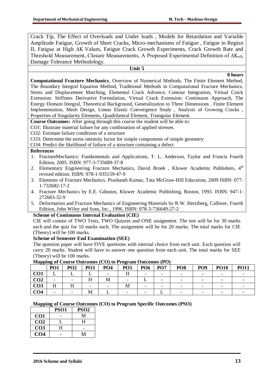Crack Tip, The Effect of Overloads and Under loads , Models for Retardation and Variable Amplitude Fatigue, Growth of Short Cracks, Micro-mechanisms of Fatigue , Fatigue in Region II, Fatigue at High ∆K Values, Fatigue Crack Growth Experiments, Crack Growth Rate and Threshold Measurement, Closure Measurements, A Proposed Experimental Definition of  $\Delta K_{\text{eff}}$ , Damage Tolerance Methodology.

### **Unit 5**

### **8 hours**

**Computational Fracture Mechanics**, Overview of Numerical Methods, The Finite Element Method, The Boundary Integral Equation Method, Traditional Methods in Computational Fracture Mechanics, Stress and Displacement Matching, Elemental Crack Advance, Contour Integration, Virtual Crack Extension: Stiffness Derivative Formulation, Virtual Crack Extension: Continuum Approach, The Energy Domain Integral, Theoretical Background, Generalization to Three Dimensions , Finite Element Implementation, Mesh Design, Linear Elastic Convergence Study , Analysis of Growing Cracks , Properties of Singularity Elements, Quadrilateral Element, Triangular Element.

**Course Outcomes:** After going through this course the student will be able to:

CO1: Illustrate material failure for any combination of applied stresses.

CO2: Estimate failure conditions of a structure

CO3: Determine the stress intensity factor for simple components of simple geometry

CO4: Predict the likelihood of failure of a structure containing a defect

#### **References**

- 1. FractureMechanics: Fundamentals and Applications, T. L. Anderson, Taylor and Francis Fourth Edition, 2005. ISBN: 977-3-735689-37-8
- 2. Elementary Engineering Fracture Mechanics, David Broek, Kluwer Academic Publishers, 4<sup>th</sup> revised edition. ISBN: 978-1-935159-47-9
- 3. Elements of Fracture Mechanics, Prashanth Kumar, Tata McGraw-Hill Education, 2009 ISBN: 077- 1-732682-17-2
- 4. Fracture Mechanics by E.E. Gdoutos, Kluwer Academic Publishing, Boston, 1993. ISBN: 947-1- 272683-32-9
- 5. Deformation and Fracture Mechanics of Engineering Materials by R.W. Hertzberg, Callister, Fourth Edition, John Wiley and Sons, Inc., 1996, ISBN: 078-3-736649-27-2

### **Scheme of Continuous Internal Evaluation (CIE)**

CIE will consist of TWO Tests, TWO Quizzes and ONE assignment. The test will be for 30 marks each and the quiz for 10 marks each. The assignment will be for 20 marks. The total marks for CIE (Theory) will be 100 marks.

#### **Scheme of Semester End Examination (SEE)**

The question paper will have FIVE questions with internal choice from each unit. Each question will carry 20 marks. Student will have to answer one question from each unit. The total marks for SEE (Theory) will be 100 marks.

|                 | PO <sub>1</sub> | PO <sub>2</sub> | PO <sub>3</sub> | PO <sub>4</sub> | PO <sub>5</sub> | PO <sub>6</sub> | PO <sub>7</sub> | PO <sub>8</sub> | PO <sub>9</sub> | <b>PO10</b> | <b>PO11</b> |
|-----------------|-----------------|-----------------|-----------------|-----------------|-----------------|-----------------|-----------------|-----------------|-----------------|-------------|-------------|
| CO <sub>1</sub> | ∸               |                 |                 |                 |                 | -               |                 |                 |                 |             |             |
| CO <sub>2</sub> | -               |                 | 11              | IVI.            |                 |                 |                 |                 |                 |             |             |
| CO <sub>3</sub> | 11              |                 | -               |                 | 1VI             | -               |                 |                 |                 |             |             |
| CO4             |                 |                 | М               |                 |                 |                 |                 |                 |                 |             |             |

#### **Mapping of Course Outcomes (CO) to Program Outcomes (PO)**

|                 | <b>PSO1</b> | PSO <sub>2</sub> |
|-----------------|-------------|------------------|
| CO1             |             | M                |
| CO <sub>2</sub> |             | H                |
| CO <sub>3</sub> | н           |                  |
| CO4             |             |                  |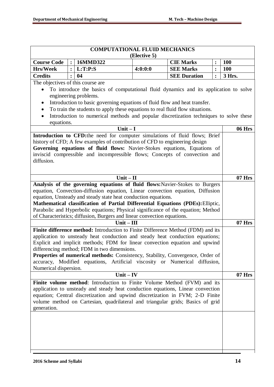|                                   |                | <b>COMPUTATIONAL FLUID MECHANICS</b>                                                                                                                         |              |                     |                |            |
|-----------------------------------|----------------|--------------------------------------------------------------------------------------------------------------------------------------------------------------|--------------|---------------------|----------------|------------|
|                                   |                |                                                                                                                                                              | (Elective 5) |                     |                |            |
| <b>Course Code</b>                |                | 16MMD322                                                                                                                                                     |              | <b>CIE Marks</b>    | :              | <b>100</b> |
| <b>Hrs/Week</b>                   | $\ddot{\cdot}$ | L:T:P:S                                                                                                                                                      | 4:0:0:0      | <b>SEE Marks</b>    | $\ddot{\cdot}$ | <b>100</b> |
| <b>Credits</b>                    |                | 04                                                                                                                                                           |              | <b>SEE Duration</b> | $\ddot{\cdot}$ | 3 Hrs.     |
| The objectives of this course are |                |                                                                                                                                                              |              |                     |                |            |
|                                   |                | To introduce the basics of computational fluid dynamics and its application to solve                                                                         |              |                     |                |            |
|                                   |                | engineering problems.                                                                                                                                        |              |                     |                |            |
| $\bullet$                         |                | Introduction to basic governing equations of fluid flow and heat transfer.                                                                                   |              |                     |                |            |
| $\bullet$                         |                | To train the students to apply these equations to real fluid flow situations.                                                                                |              |                     |                |            |
| $\bullet$                         |                | Introduction to numerical methods and popular discretization techniques to solve these                                                                       |              |                     |                |            |
| equations.                        |                |                                                                                                                                                              |              |                     |                |            |
|                                   |                | Unit $-I$                                                                                                                                                    |              |                     |                | 06 Hrs     |
|                                   |                | Introduction to CFD:the need for computer simulations of fluid flows; Brief                                                                                  |              |                     |                |            |
|                                   |                | history of CFD; A few examples of contribution of CFD to engineering design<br>Governing equations of fluid flows: Navier-Stokes equations, Equations of     |              |                     |                |            |
|                                   |                | inviscid compressible and incompressible flows; Concepts of convection and                                                                                   |              |                     |                |            |
| diffusion.                        |                |                                                                                                                                                              |              |                     |                |            |
|                                   |                |                                                                                                                                                              |              |                     |                |            |
|                                   |                |                                                                                                                                                              |              |                     |                |            |
|                                   |                | $Unit - II$                                                                                                                                                  |              |                     |                | 07 Hrs     |
|                                   |                | Analysis of the governing equations of fluid flows: Navier-Stokes to Burgers                                                                                 |              |                     |                |            |
|                                   |                | equation, Convection-diffusion equation, Linear convection equation, Diffusion                                                                               |              |                     |                |            |
|                                   |                | equation, Unsteady and steady state heat conduction equations.                                                                                               |              |                     |                |            |
|                                   |                | Mathematical classification of Partial Differential Equations (PDEs): Elliptic,                                                                              |              |                     |                |            |
|                                   |                | Parabolic and Hyperbolic equations; Physical significance of the equation; Method<br>of Characteristics; diffusion, Burgers and linear convection equations. |              |                     |                |            |
|                                   |                | $Unit - III$                                                                                                                                                 |              |                     |                | $07$ Hrs   |
|                                   |                | Finite difference method: Introduction to Finite Difference Method (FDM) and its                                                                             |              |                     |                |            |
|                                   |                | application to unsteady heat conduction and steady heat conduction equations;                                                                                |              |                     |                |            |
|                                   |                | Explicit and implicit methods; FDM for linear convection equation and upwind                                                                                 |              |                     |                |            |
|                                   |                | differencing method; FDM in two dimensions.                                                                                                                  |              |                     |                |            |
|                                   |                | <b>Properties of numerical methods:</b> Consistency, Stability, Convergence, Order of                                                                        |              |                     |                |            |
|                                   |                | accuracy, Modified equations, Artificial viscosity or Numerical diffusion,                                                                                   |              |                     |                |            |
| Numerical dispersion.             |                |                                                                                                                                                              |              |                     |                |            |
|                                   |                | $Unit - IV$                                                                                                                                                  |              |                     |                | $07$ Hrs   |
|                                   |                | Finite volume method: Introduction to Finite Volume Method (FVM) and its                                                                                     |              |                     |                |            |
|                                   |                | application to unsteady and steady heat conduction equations, Linear convection                                                                              |              |                     |                |            |
|                                   |                | equation; Central discretization and upwind discretization in FVM; 2-D Finite                                                                                |              |                     |                |            |
|                                   |                | volume method on Cartesian, quadrilateral and triangular grids; Basics of grid                                                                               |              |                     |                |            |
| generation.                       |                |                                                                                                                                                              |              |                     |                |            |
|                                   |                |                                                                                                                                                              |              |                     |                |            |
|                                   |                |                                                                                                                                                              |              |                     |                |            |
|                                   |                |                                                                                                                                                              |              |                     |                |            |
|                                   |                |                                                                                                                                                              |              |                     |                |            |
|                                   |                |                                                                                                                                                              |              |                     |                |            |
|                                   |                |                                                                                                                                                              |              |                     |                |            |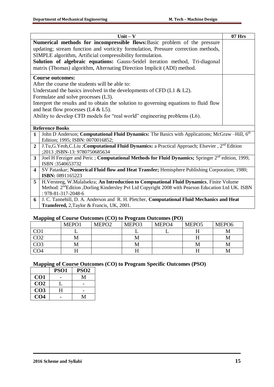|                         | Unit $-$ V                                                                                                                                                                                                | $07$ Hrs |
|-------------------------|-----------------------------------------------------------------------------------------------------------------------------------------------------------------------------------------------------------|----------|
|                         | Numerical methods for incompressible flows: Basic problem of the pressure                                                                                                                                 |          |
|                         | updating; stream function and vorticity formulation, Pressure correction methods,                                                                                                                         |          |
|                         | SIMPLE algorithm, Artificial compressibility formulation.                                                                                                                                                 |          |
|                         | Solution of algebraic equations: Gauss-Seidel iteration method, Tri-diagonal                                                                                                                              |          |
|                         | matrix (Thomas) algorithm, Alternating Direction Implicit (ADI) method.                                                                                                                                   |          |
|                         |                                                                                                                                                                                                           |          |
|                         | <b>Course outcomes:</b>                                                                                                                                                                                   |          |
|                         | After the course the students will be able to:                                                                                                                                                            |          |
|                         | Understand the basics involved in the developments of CFD ( $L1 \& L2$ ).                                                                                                                                 |          |
|                         | Formulate and solve processes (L3).                                                                                                                                                                       |          |
|                         | Interpret the results and to obtain the solution to governing equations to fluid flow                                                                                                                     |          |
|                         | and heat flow processes $(L4 \& L5)$ .                                                                                                                                                                    |          |
|                         | Ability to develop CFD models for "real world" engineering problems (L6).                                                                                                                                 |          |
|                         |                                                                                                                                                                                                           |          |
|                         | <b>Reference Books</b>                                                                                                                                                                                    |          |
| $\mathbf{1}$            | John D Anderson; Computational Fluid Dynamics: The Basics with Applications; McGraw-Hill, 6th                                                                                                             |          |
|                         | Edition; 1995; ISBN: 0070016852;                                                                                                                                                                          |          |
| $\overline{2}$          | J.Tu,G.Yeoh,C.Liu ;Computational Fluid Dynamics: a Practical Approach; Elsevier, 2 <sup>nd</sup> Edition                                                                                                  |          |
|                         | ;2013 ; ISBN-13: 9780750685634                                                                                                                                                                            |          |
| $\overline{\mathbf{3}}$ | Joel H Ferziger and Peric; Computational Methods for Fluid Dynamics; Springer 2 <sup>nd</sup> edition, 1999,                                                                                              |          |
|                         | ISBN:3540653732                                                                                                                                                                                           |          |
| $\overline{\mathbf{4}}$ | SV Patankar; Numerical Fluid flow and Heat Transfer; Hemisphere Publishing Corporation; 1980;<br>ISBN: 0891165223                                                                                         |          |
|                         |                                                                                                                                                                                                           |          |
| $\overline{5}$          | H.Versteeg, W.Malalsekra; An Introduction to Compuational Fluid Dynamics, Finite Volume<br>Method: 2 <sup>nd</sup> Edition ,Dorling Kindersley Pvt Ltd Copyright 2008 with Pearson Education Ltd UK. ISBN |          |
|                         | : 978-81-317-2048-6                                                                                                                                                                                       |          |
| 6                       | J. C. Tannehill, D. A. Anderson and R. H. Pletcher, Computational Fluid Mechanics and Heat                                                                                                                |          |
|                         | Transfered, 2, Taylor & Francis, UK, 2001.                                                                                                                                                                |          |

### **Mapping of Course Outcomes (CO) to Program Outcomes (PO)**

| $\mathbf{r}$ o    |       |                   | - 0   |       |                   |                   |
|-------------------|-------|-------------------|-------|-------|-------------------|-------------------|
|                   | MEPO1 | MEPO <sub>2</sub> | MEPO3 | MEPO4 | MEPO <sub>5</sub> | MEPO <sub>6</sub> |
| $\overline{C}$ 01 |       |                   |       |       |                   |                   |
| CO <sub>2</sub>   | М     |                   |       |       |                   |                   |
| CO <sub>3</sub>   | М     |                   |       |       | M                 |                   |
| CO <sub>4</sub>   |       |                   |       |       |                   |                   |

|                 | PSO <sub>1</sub> | PSO <sub>2</sub> |
|-----------------|------------------|------------------|
| CO <sub>1</sub> |                  |                  |
| CO <sub>2</sub> |                  |                  |
| CO <sub>3</sub> | н                |                  |
| CO4             |                  |                  |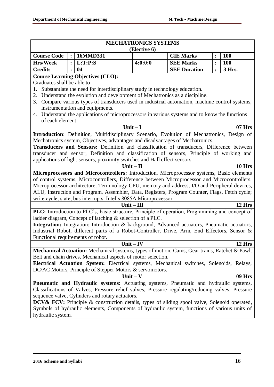|                                                                                                                                       |                                          |                                                                                                                                                     | <b>MECHATRONICS SYSTEMS</b> |                     |                |               |  |  |  |  |  |
|---------------------------------------------------------------------------------------------------------------------------------------|------------------------------------------|-----------------------------------------------------------------------------------------------------------------------------------------------------|-----------------------------|---------------------|----------------|---------------|--|--|--|--|--|
|                                                                                                                                       |                                          |                                                                                                                                                     | (Elective 6)                |                     |                |               |  |  |  |  |  |
| <b>Course Code</b>                                                                                                                    | $\ddot{\cdot}$                           | 16MMD331                                                                                                                                            |                             | <b>CIE Marks</b>    | :              | <b>100</b>    |  |  |  |  |  |
| <b>Hrs/Week</b>                                                                                                                       | $\mathbf{.}$                             | L:T:P:S                                                                                                                                             | 4:0:0:0                     | <b>SEE Marks</b>    | $\ddot{\cdot}$ | 100           |  |  |  |  |  |
| <b>Credits</b>                                                                                                                        |                                          | 04                                                                                                                                                  |                             | <b>SEE Duration</b> | $\ddot{\cdot}$ | 3 Hrs.        |  |  |  |  |  |
|                                                                                                                                       | <b>Course Learning Objectives (CLO):</b> |                                                                                                                                                     |                             |                     |                |               |  |  |  |  |  |
| Graduates shall be able to                                                                                                            |                                          |                                                                                                                                                     |                             |                     |                |               |  |  |  |  |  |
| Substantiate the need for interdisciplinary study in technology education.                                                            |                                          |                                                                                                                                                     |                             |                     |                |               |  |  |  |  |  |
| Understand the evolution and development of Mechatronics as a discipline.<br>2.                                                       |                                          |                                                                                                                                                     |                             |                     |                |               |  |  |  |  |  |
| Compare various types of transducers used in industrial automation, machine control systems,<br>3.<br>instrumentation and equipments. |                                          |                                                                                                                                                     |                             |                     |                |               |  |  |  |  |  |
|                                                                                                                                       |                                          |                                                                                                                                                     |                             |                     |                |               |  |  |  |  |  |
| 4.<br>of each element.                                                                                                                |                                          | Understand the applications of microprocessors in various systems and to know the functions                                                         |                             |                     |                |               |  |  |  |  |  |
|                                                                                                                                       |                                          |                                                                                                                                                     | Unit $-I$                   |                     |                | $07$ Hrs      |  |  |  |  |  |
|                                                                                                                                       |                                          | Introduction: Definition, Multidisciplinary Scenario, Evolution of Mechatronics, Design of                                                          |                             |                     |                |               |  |  |  |  |  |
|                                                                                                                                       |                                          | Mechatronics system, Objectives, advantages and disadvantages of Mechatronics.                                                                      |                             |                     |                |               |  |  |  |  |  |
|                                                                                                                                       |                                          | Transducers and Sensors: Definition and classification of transducers, Difference between                                                           |                             |                     |                |               |  |  |  |  |  |
|                                                                                                                                       |                                          | transducer and sensor, Definition and classification of sensors, Principle of working and                                                           |                             |                     |                |               |  |  |  |  |  |
|                                                                                                                                       |                                          | applications of light sensors, proximity switches and Hall effect sensors.                                                                          |                             |                     |                |               |  |  |  |  |  |
|                                                                                                                                       |                                          | $Unit - II$                                                                                                                                         |                             |                     |                | <b>10 Hrs</b> |  |  |  |  |  |
|                                                                                                                                       |                                          | Microprocessors and Microcontrollers: Introduction, Microprocessor systems, Basic elements                                                          |                             |                     |                |               |  |  |  |  |  |
|                                                                                                                                       |                                          | of control systems, Microcontrollers, Difference between Microprocessor and Microcontrollers,                                                       |                             |                     |                |               |  |  |  |  |  |
|                                                                                                                                       |                                          | Microprocessor architecture, Terminology-CPU, memory and address, I/O and Peripheral devices,                                                       |                             |                     |                |               |  |  |  |  |  |
|                                                                                                                                       |                                          | ALU, Instruction and Program, Assembler, Data, Registers, Program Counter, Flags, Fetch cycle;                                                      |                             |                     |                |               |  |  |  |  |  |
|                                                                                                                                       |                                          | write cycle, state, bus interrupts. Intel's 8085A Microprocessor.                                                                                   |                             |                     |                |               |  |  |  |  |  |
|                                                                                                                                       |                                          |                                                                                                                                                     | $Unit - III$                |                     |                | 12 Hrs        |  |  |  |  |  |
|                                                                                                                                       |                                          | PLC: Introduction to PLC's, basic structure, Principle of operation, Programming and concept of                                                     |                             |                     |                |               |  |  |  |  |  |
|                                                                                                                                       |                                          | ladder diagram, Concept of latching & selection of a PLC.                                                                                           |                             |                     |                |               |  |  |  |  |  |
|                                                                                                                                       |                                          | Integration: Integration: Introduction & background, Advanced actuators, Pneumatic actuators,                                                       |                             |                     |                |               |  |  |  |  |  |
|                                                                                                                                       |                                          | Industrial Robot, different parts of a Robot-Controller, Drive, Arm, End Effectors, Sensor &                                                        |                             |                     |                |               |  |  |  |  |  |
| Functional requirements of robot.                                                                                                     |                                          |                                                                                                                                                     |                             |                     |                |               |  |  |  |  |  |
|                                                                                                                                       |                                          |                                                                                                                                                     | Unit $-$ IV                 |                     |                | 12 Hrs        |  |  |  |  |  |
|                                                                                                                                       |                                          | Mechanical Actuation: Mechanical systems, types of motion, Cams, Gear trains, Ratchet & Pawl,                                                       |                             |                     |                |               |  |  |  |  |  |
|                                                                                                                                       |                                          | Belt and chain drives, Mechanical aspects of motor selection.                                                                                       |                             |                     |                |               |  |  |  |  |  |
|                                                                                                                                       |                                          | Electrical Actuation System: Electrical systems, Mechanical switches, Solenoids, Relays,                                                            |                             |                     |                |               |  |  |  |  |  |
|                                                                                                                                       |                                          | DC/AC Motors, Principle of Stepper Motors & servomotors.                                                                                            |                             |                     |                |               |  |  |  |  |  |
|                                                                                                                                       |                                          |                                                                                                                                                     | $Unit - V$                  |                     |                | <b>09 Hrs</b> |  |  |  |  |  |
|                                                                                                                                       |                                          | Pneumatic and Hydraulic systems: Actuating systems, Pneumatic and hydraulic systems,                                                                |                             |                     |                |               |  |  |  |  |  |
|                                                                                                                                       |                                          | Classifications of Valves, Pressure relief valves, Pressure regulating/reducing valves, Pressure<br>sequence valve, Cylinders and rotary actuators. |                             |                     |                |               |  |  |  |  |  |
|                                                                                                                                       |                                          | <b>DCV&amp; FCV:</b> Principle & construction details, types of sliding spool valve, Solenoid operated,                                             |                             |                     |                |               |  |  |  |  |  |
|                                                                                                                                       |                                          | Symbols of hydraulic elements, Components of hydraulic system, functions of various units of                                                        |                             |                     |                |               |  |  |  |  |  |
| hydraulic system.                                                                                                                     |                                          |                                                                                                                                                     |                             |                     |                |               |  |  |  |  |  |
|                                                                                                                                       |                                          |                                                                                                                                                     |                             |                     |                |               |  |  |  |  |  |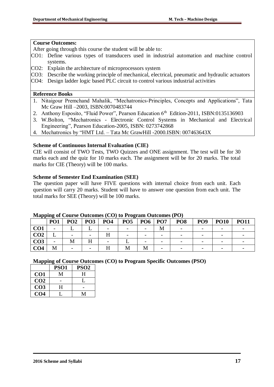### **Course Outcomes:**

After going through this course the student will be able to:

- CO1: Define various types of transducers used in industrial automation and machine control systems.
- CO2: Explain the architecture of microprocessors system
- CO3: Describe the working principle of mechanical, electrical, pneumatic and hydraulic actuators
- CO4: Design ladder logic based PLC circuit to control various industrial activities

### **Reference Books**

- 1. Nitaigour Premchand Mahalik, "Mechatronics-Principles, Concepts and Applications", Tata Mc Graw Hill –2003, ISBN:0070483744
- 2. Anthony Esposito, "Fluid Power", Pearson Education 6<sup>th</sup> Edition-2011, ISBN:0135136903
- 3. W.Bolton, "Mechatronics Electronic Control Systems in Mechanical and Electrical Engineering", Pearson Education-2005, ISBN: 0273742868
- 4. Mechatronics by "HMT Ltd. Tata Mc GrawHill -2000.ISBN: 007463643X

### **Scheme of Continuous Internal Evaluation (CIE)**

CIE will consist of TWO Tests, TWO Quizzes and ONE assignment. The test will be for 30 marks each and the quiz for 10 marks each. The assignment will be for 20 marks. The total marks for CIE (Theory) will be 100 marks.

### **Scheme of Semester End Examination (SEE)**

The question paper will have FIVE questions with internal choice from each unit. Each question will carry 20 marks. Student will have to answer one question from each unit. The total marks for SEE (Theory) will be 100 marks.

| . .             | PO <sub>1</sub> | PO <sub>2</sub> | PO <sub>3</sub> | PO <sub>4</sub> | ຼ<br>PO <sub>5</sub> | PO <sub>6</sub> | PO <sub>7</sub> | PO <sub>8</sub> | PO <sub>9</sub> | <b>PO10</b> | <b>PO11</b> |
|-----------------|-----------------|-----------------|-----------------|-----------------|----------------------|-----------------|-----------------|-----------------|-----------------|-------------|-------------|
| CO <sub>1</sub> |                 |                 |                 |                 |                      |                 | М               |                 |                 |             |             |
| CO <sub>2</sub> |                 |                 |                 |                 |                      |                 |                 |                 |                 |             |             |
| CO <sub>3</sub> |                 | М               |                 |                 |                      |                 |                 |                 |                 |             |             |
| CO <sub>4</sub> | M               |                 |                 |                 |                      |                 |                 |                 |                 |             |             |

#### **Mapping of Course Outcomes (CO) to Program Outcomes (PO)**

|                 | PSO1 | PSO <sub>2</sub> |
|-----------------|------|------------------|
| CO <sub>1</sub> | М    | H                |
| CO <sub>2</sub> |      |                  |
| CO <sub>3</sub> | н    |                  |
| CO4             |      | M                |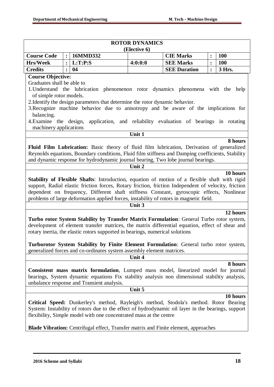|                            |                |                                                                                                                                                                 | <b>ROTOR DYNAMICS</b> |                                                                 |                  |            |
|----------------------------|----------------|-----------------------------------------------------------------------------------------------------------------------------------------------------------------|-----------------------|-----------------------------------------------------------------|------------------|------------|
|                            |                |                                                                                                                                                                 | (Elective 6)          |                                                                 |                  |            |
| <b>Course Code</b>         | $\ddot{\cdot}$ | 16MMD332                                                                                                                                                        |                       | <b>CIE Marks</b>                                                | $\ddot{\bullet}$ | <b>100</b> |
| <b>Hrs/Week</b>            | $\ddot{\cdot}$ | L:T:P:S                                                                                                                                                         | 4:0:0:0               | <b>SEE Marks</b>                                                | :                | 100        |
| <b>Credits</b>             |                | 04                                                                                                                                                              |                       | <b>SEE Duration</b>                                             | :                | 3 Hrs.     |
| <b>Course Objective:</b>   |                |                                                                                                                                                                 |                       |                                                                 |                  |            |
| Graduates shall be able to |                |                                                                                                                                                                 |                       |                                                                 |                  |            |
|                            |                | 1. Understand the lubrication phenomenon rotor dynamics phenomena with the help                                                                                 |                       |                                                                 |                  |            |
| of simple rotor models.    |                |                                                                                                                                                                 |                       |                                                                 |                  |            |
|                            |                | 2. Identify the design parameters that determine the rotor dynamic behavior.                                                                                    |                       |                                                                 |                  |            |
|                            |                | 3. Recognize machine behavior due to anisotropy and be aware of the implications for                                                                            |                       |                                                                 |                  |            |
| balancing.                 |                |                                                                                                                                                                 |                       |                                                                 |                  |            |
| 4. Examine the design,     |                |                                                                                                                                                                 |                       | application, and reliability evaluation of bearings in rotating |                  |            |
| machinery applications     |                |                                                                                                                                                                 | Unit 1                |                                                                 |                  |            |
|                            |                |                                                                                                                                                                 |                       |                                                                 |                  | 8 hours    |
|                            |                | Fluid Film Lubrication: Basic theory of fluid film lubrication, Derivation of generalized                                                                       |                       |                                                                 |                  |            |
|                            |                | Reynolds equations, Boundary conditions, Fluid film stiffness and Damping coefficients, Stability                                                               |                       |                                                                 |                  |            |
|                            |                | and dynamic response for hydrodynamic journal bearing, Two lobe journal bearings.                                                                               |                       |                                                                 |                  |            |
|                            |                |                                                                                                                                                                 | Unit 2                |                                                                 |                  |            |
|                            |                |                                                                                                                                                                 |                       |                                                                 |                  | 10 hours   |
|                            |                | Stability of Flexible Shafts: Introduction, equation of motion of a flexible shaft with rigid                                                                   |                       |                                                                 |                  |            |
|                            |                | support, Radial elastic friction forces, Rotary friction, friction Independent of velocity, friction                                                            |                       |                                                                 |                  |            |
|                            |                | dependent on frequency, Different shaft stiffness Constant, gyroscopic effects, Nonlinear                                                                       |                       |                                                                 |                  |            |
|                            |                | problems of large deformation applied forces, instability of rotors in magnetic field.                                                                          |                       |                                                                 |                  |            |
|                            |                |                                                                                                                                                                 | Unit 3                |                                                                 |                  |            |
|                            |                |                                                                                                                                                                 |                       |                                                                 |                  | 12 hours   |
|                            |                | Turbo rotor System Stability by Transfer Matrix Formulation: General Turbo rotor system,                                                                        |                       |                                                                 |                  |            |
|                            |                | development of element transfer matrices, the matrix differential equation, effect of shear and                                                                 |                       |                                                                 |                  |            |
|                            |                | rotary inertia, the elastic rotors supported in bearings, numerical solutions                                                                                   |                       |                                                                 |                  |            |
|                            |                |                                                                                                                                                                 |                       |                                                                 |                  |            |
|                            |                | Turborotor System Stability by Finite Element Formulation: General turbo rotor system,<br>generalized forces and co-ordinates system assembly element matrices. |                       |                                                                 |                  |            |
|                            |                |                                                                                                                                                                 | Unit 4                |                                                                 |                  |            |
|                            |                |                                                                                                                                                                 |                       |                                                                 |                  | 8 hours    |
|                            |                | Consistent mass matrix formulation, Lumped mass model, linearized model for journal                                                                             |                       |                                                                 |                  |            |
|                            |                | bearings, System dynamic equations Fix stability analysis non dimensional stability analysis,                                                                   |                       |                                                                 |                  |            |
|                            |                | unbalance response and Transient analysis.                                                                                                                      |                       |                                                                 |                  |            |
|                            |                |                                                                                                                                                                 | Unit 5                |                                                                 |                  |            |
|                            |                |                                                                                                                                                                 |                       |                                                                 |                  | 10 hours   |
|                            |                | Critical Speed: Dunkerley's method, Rayleigh's method, Stodola's method. Rotor Bearing                                                                          |                       |                                                                 |                  |            |
|                            |                | System: Instability of rotors due to the effect of hydrodynamic oil layer in the bearings, support                                                              |                       |                                                                 |                  |            |
|                            |                | flexibility, Simple model with one concentrated mass at the centre                                                                                              |                       |                                                                 |                  |            |
|                            |                |                                                                                                                                                                 |                       |                                                                 |                  |            |
|                            |                | <b>Blade Vibration:</b> Centrifugal effect, Transfer matrix and Finite element, approaches                                                                      |                       |                                                                 |                  |            |
|                            |                |                                                                                                                                                                 |                       |                                                                 |                  |            |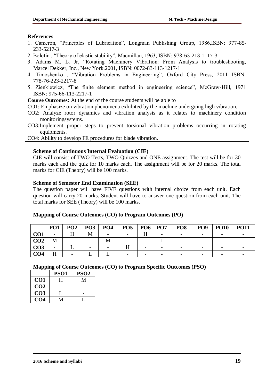### **References**

- 1. Cameron, "Principles of Lubrication", Longman Publishing Group, 1986,ISBN: 977-85- 233-5217-3
- 2. Bolotin , "Theory of elastic stability", Macmillan, 1963, ISBN: 978-63-213-1117-3
- 3. Adams M. L. Jr, "Rotating Machinery Vibration: From Analysis to troubleshooting, Marcel Dekker, Inc., New York.2001, ISBN: 0072-83-113-1217-1
- 4. Timoshenko , "Vibration Problems in Engineering", Oxford City Press, 2011 ISBN: 778-76-223-2217-8
- 5. Zienkiewicz, "The finite element method in engineering science", McGraw-Hill, 1971 ISBN: 975-66-113-2217-1

**Course Outcomes:** At the end of the course students will be able to

CO1: Emphasize on vibration phenomena exhibited by the machine undergoing high vibration.

CO2: Analyze rotor dynamics and vibration analysis as it relates to machinery condition monitoringsystems.

CO3:Implement proper steps to prevent torsional vibration problems occurring in rotating equipments.

CO4: Ability to develop FE procedures for blade vibration.

## **Scheme of Continuous Internal Evaluation (CIE)**

CIE will consist of TWO Tests, TWO Quizzes and ONE assignment. The test will be for 30 marks each and the quiz for 10 marks each. The assignment will be for 20 marks. The total marks for CIE (Theory) will be 100 marks.

### **Scheme of Semester End Examination (SEE)**

The question paper will have FIVE questions with internal choice from each unit. Each question will carry 20 marks. Student will have to answer one question from each unit. The total marks for SEE (Theory) will be 100 marks.

|                 | PO <sub>1</sub>          | PO <sub>2</sub> | <b>PO3</b> | <b>PO4</b>               | <b>PO5</b>               | <b>PO6</b> | PO7 | PO <sub>8</sub> | PO <sub>9</sub> | <b>PO10</b> | <b>PO11</b> |
|-----------------|--------------------------|-----------------|------------|--------------------------|--------------------------|------------|-----|-----------------|-----------------|-------------|-------------|
|                 | $\overline{\phantom{a}}$ |                 |            | $\overline{\phantom{0}}$ | $\overline{\phantom{0}}$ |            |     |                 |                 |             |             |
| CO <sub>2</sub> | M                        |                 |            |                          |                          |            |     |                 |                 |             |             |
| CO <sub>3</sub> |                          |                 |            |                          |                          |            |     |                 |                 |             |             |
| CO4             |                          |                 |            |                          |                          |            |     |                 |                 |             |             |

## **Mapping of Course Outcomes (CO) to Program Outcomes (PO)**

|                 | PSO <sub>1</sub> | PSO <sub>2</sub> |
|-----------------|------------------|------------------|
| CO1             | H                | М                |
| CO <sub>2</sub> |                  |                  |
| CO <sub>3</sub> |                  |                  |
| CO4             |                  |                  |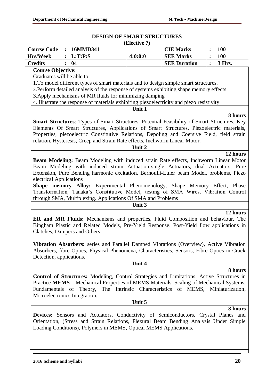| <b>Course Code</b><br><b>Hrs/Week</b><br><b>Credits</b><br><b>Course Objective:</b><br>Graduates will be able to | $\cdot$      |                                                                                 | (Elective 7) | <b>DESIGN OF SMART STRUCTURES</b>                                                                                                                                                                                                                                                                                                                                                                                                                                                                                                                                                                                                                             |                |            |
|------------------------------------------------------------------------------------------------------------------|--------------|---------------------------------------------------------------------------------|--------------|---------------------------------------------------------------------------------------------------------------------------------------------------------------------------------------------------------------------------------------------------------------------------------------------------------------------------------------------------------------------------------------------------------------------------------------------------------------------------------------------------------------------------------------------------------------------------------------------------------------------------------------------------------------|----------------|------------|
|                                                                                                                  |              | 16MMD341                                                                        |              | <b>CIE Marks</b>                                                                                                                                                                                                                                                                                                                                                                                                                                                                                                                                                                                                                                              | $\ddot{\cdot}$ | <b>100</b> |
|                                                                                                                  | $\mathbf{.}$ | L:T:P:S                                                                         | 4:0:0:0      | <b>SEE Marks</b>                                                                                                                                                                                                                                                                                                                                                                                                                                                                                                                                                                                                                                              | $\ddot{\cdot}$ | <b>100</b> |
|                                                                                                                  | $\cdot$      | 04                                                                              |              | <b>SEE Duration</b>                                                                                                                                                                                                                                                                                                                                                                                                                                                                                                                                                                                                                                           | $\ddot{\cdot}$ | 3 Hrs.     |
|                                                                                                                  |              | 3. Apply mechanisms of MR fluids for minimizing damping                         | Unit 1       | 1. To model different types of smart materials and to design simple smart structures.<br>2. Perform detailed analysis of the response of systems exhibiting shape memory effects<br>4. Illustrate the response of materials exhibiting piezoelectricity and piezo resistivity<br><b>Smart Structures:</b> Types of Smart Structures, Potential Feasibility of Smart Structures, Key<br>Elements Of Smart Structures, Applications of Smart Structures. Piezoelectric materials,<br>Properties, piezoelectric Constitutive Relations, Depoling and Coersive Field, field strain<br>relation. Hysteresis, Creep and Strain Rate effects, Inchworm Linear Motor. |                | 8 hours    |
|                                                                                                                  |              |                                                                                 | Unit 2       |                                                                                                                                                                                                                                                                                                                                                                                                                                                                                                                                                                                                                                                               |                |            |
| electrical Applications<br>Clatches, Dampers and Others.                                                         |              | through SMA, Multiplexing. Applications Of SMA and Problems                     | Unit 3       | Beam Modeling: Beam Modeling with induced strain Rate effects, Inchworm Linear Motor<br>Beam Modeling with induced strain Actuation-single Actuators, dual Actuators, Pure<br>Extension, Pure Bending harmonic excitation, Bernoulli-Euler beam Model, problems, Piezo<br>Shape memory Alloy: Experimental Phenomenology, Shape Memory Effect, Phase<br>Transformation, Tanaka's Constitutive Model, testing of SMA Wires, Vibration Control<br>ER and MR Fluids: Mechanisms and properties, Fluid Composition and behaviour, The<br>Bingham Plastic and Related Models, Pre-Yield Response. Post-Yield flow applications in                                  |                | 12 hours   |
| Detection, applications.                                                                                         |              |                                                                                 | Unit 4       | Vibration Absorbers: series and Parallel Damped Vibrations (Overview), Active Vibration<br>Absorbers, fibre Optics, Physical Phenomena, Characteristics, Sensors, Fibre Optics in Crack                                                                                                                                                                                                                                                                                                                                                                                                                                                                       |                |            |
|                                                                                                                  |              |                                                                                 |              |                                                                                                                                                                                                                                                                                                                                                                                                                                                                                                                                                                                                                                                               |                | 8 hours    |
|                                                                                                                  |              | Fundamentals of Theory, The Intrinsic Characteristics of MEMS, Miniaturization, |              | Control of Structures: Modeling, Control Strategies and Limitations, Active Structures in<br>Practice MEMS - Mechanical Properties of MEMS Materials, Scaling of Mechanical Systems,                                                                                                                                                                                                                                                                                                                                                                                                                                                                          |                |            |
| Microelectronics Integration.                                                                                    |              |                                                                                 |              |                                                                                                                                                                                                                                                                                                                                                                                                                                                                                                                                                                                                                                                               |                |            |
|                                                                                                                  |              |                                                                                 | Unit 5       |                                                                                                                                                                                                                                                                                                                                                                                                                                                                                                                                                                                                                                                               |                | 8 hours    |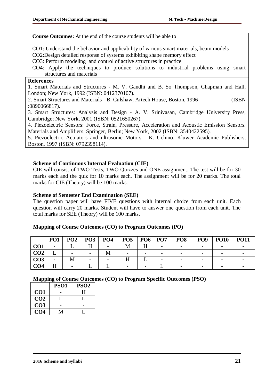**Course Outcomes:** At the end of the course students will be able to

CO1: Understand the behavior and applicability of various smart materials, beam models

CO2:Design detailed response of systems exhibiting shape memory effect

CO3: Perform modeling and control of active structures in practice

CO4: Apply the techniques to produce solutions to industrial problems using smart structures and materials

### **References**

1. Smart Materials and Structures - M. V. Gandhi and B. So Thompson, Chapman and Hall, London; New York, 1992 (ISBN: 0412370107).

2. Smart Structures and Materials - B. Culshaw, Artech House, Boston, 1996 (ISBN :0890066817).

3. Smart Structures: Analysis and Design - A. V. Srinivasan, Cambridge University Press, Cambridge; New York, 2001 (ISBN: 0521650267).

4. Piezoelectric Sensors: Force, Strain, Pressure, Acceleration and Acoustic Emission Sensors. Materials and Amplifiers, Springer, Berlin; New York, 2002 (ISBN: 3540422595).

5. Piezoelectric Actuators and ultrasonic Motors - K. Uchino, Kluwer Academic Publishers, Boston, 1997 (ISBN: 0792398114).

### **Scheme of Continuous Internal Evaluation (CIE)**

CIE will consist of TWO Tests, TWO Quizzes and ONE assignment. The test will be for 30 marks each and the quiz for 10 marks each. The assignment will be for 20 marks. The total marks for CIE (Theory) will be 100 marks.

### **Scheme of Semester End Examination (SEE)**

The question paper will have FIVE questions with internal choice from each unit. Each question will carry 20 marks. Student will have to answer one question from each unit. The total marks for SEE (Theory) will be 100 marks.

#### **Mapping of Course Outcomes (CO) to Program Outcomes (PO)**

|                 | PO <sub>1</sub>          | PO <sub>2</sub> | PO <sub>3</sub> | PO <sub>4</sub> | PO <sub>5</sub>          | PO <sub>6</sub>          | <b>PO7</b> | PO <sub>8</sub>          | PO <sub>9</sub> | <b>PO10</b> | <b>PO11</b> |
|-----------------|--------------------------|-----------------|-----------------|-----------------|--------------------------|--------------------------|------------|--------------------------|-----------------|-------------|-------------|
| CO <sub>1</sub> | -                        |                 |                 |                 | M                        |                          |            |                          |                 |             |             |
| CO <sub>2</sub> |                          |                 |                 | М               | $\overline{\phantom{0}}$ | $\overline{\phantom{0}}$ |            |                          |                 |             |             |
| CO3             | $\overline{\phantom{0}}$ | М               |                 |                 |                          |                          |            |                          |                 |             |             |
| CO4             | ТТ<br>п                  |                 |                 |                 | $\overline{\phantom{0}}$ | $\overline{\phantom{0}}$ |            | $\overline{\phantom{0}}$ |                 |             |             |

|                 | PSO <sub>1</sub> | PSO <sub>2</sub> |
|-----------------|------------------|------------------|
| CO1             |                  | H                |
| CO <sub>2</sub> |                  |                  |
| CO <sub>3</sub> |                  |                  |
| CO4             |                  |                  |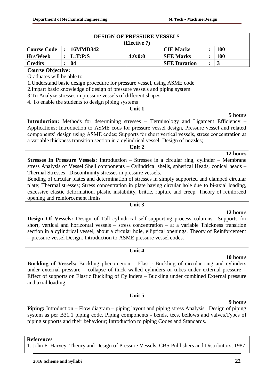|                                  |                | <b>DESIGN OF PRESSURE VESSELS</b>                                                                                                                                                                                                                                                                                                                                                                                                                                                                                                                                                                                                                                             | (Elective 7) |                     |                |            |
|----------------------------------|----------------|-------------------------------------------------------------------------------------------------------------------------------------------------------------------------------------------------------------------------------------------------------------------------------------------------------------------------------------------------------------------------------------------------------------------------------------------------------------------------------------------------------------------------------------------------------------------------------------------------------------------------------------------------------------------------------|--------------|---------------------|----------------|------------|
| <b>Course Code</b>               | $\ddot{\cdot}$ | 16MMD342                                                                                                                                                                                                                                                                                                                                                                                                                                                                                                                                                                                                                                                                      |              | <b>CIE Marks</b>    | :              | <b>100</b> |
| <b>Hrs/Week</b>                  | $\ddot{\cdot}$ | L:T:P:S                                                                                                                                                                                                                                                                                                                                                                                                                                                                                                                                                                                                                                                                       | 4:0:0:0      | <b>SEE Marks</b>    | $\ddot{\cdot}$ | <b>100</b> |
| <b>Credits</b>                   |                | 04                                                                                                                                                                                                                                                                                                                                                                                                                                                                                                                                                                                                                                                                            |              | <b>SEE Duration</b> | $\ddot{\cdot}$ | 3          |
| <b>Course Objective:</b>         |                |                                                                                                                                                                                                                                                                                                                                                                                                                                                                                                                                                                                                                                                                               |              |                     |                |            |
| Graduates will be able to        |                | 1. Understand basic design procedure for pressure vessel, using ASME code<br>2. Impart basic knowledge of design of pressure vessels and piping system<br>3.To Analyze stresses in pressure vessels of different shapes<br>4. To enable the students to design piping systems<br><b>Introduction:</b> Methods for determining stresses – Terminology and Ligament Efficiency –<br>Applications; Introduction to ASME cods for pressure vessel design, Pressure vessel and related<br>components' design using ASME codes; Supports for short vertical vessels, stress concentration at<br>a variable thickness transition section in a cylindrical vessel; Design of nozzles; | Unit 1       |                     |                | 5 hours    |
|                                  |                |                                                                                                                                                                                                                                                                                                                                                                                                                                                                                                                                                                                                                                                                               | Unit 2       |                     |                | 12 hours   |
| opening and reinforcement limits |                | stress Analysis of Vessel Shell components - Cylindrical shells, spherical Heads, conical heads -<br>Thermal Stresses -Discontinuity stresses in pressure vessels.<br>Bending of circular plates and determination of stresses in simply supported and clamped circular<br>plate; Thermal stresses; Stress concentration in plate having circular hole due to bi-axial loading,<br>excessive elastic deformation, plastic instability, brittle, rupture and creep. Theory of reinforced                                                                                                                                                                                       | Unit 3       |                     |                |            |
|                                  |                |                                                                                                                                                                                                                                                                                                                                                                                                                                                                                                                                                                                                                                                                               |              |                     |                |            |
|                                  |                | <b>Design Of Vessels:</b> Design of Tall cylindrical self-supporting process columns -Supports for<br>short, vertical and horizontal vessels $-$ stress concentration $-$ at a variable Thickness transition<br>section in a cylindrical vessel, about a circular hole, elliptical openings. Theory of Reinforcement<br>- pressure vessel Design. Introduction to ASME pressure vessel codes.                                                                                                                                                                                                                                                                                 |              |                     |                | 12 hours   |
|                                  |                |                                                                                                                                                                                                                                                                                                                                                                                                                                                                                                                                                                                                                                                                               | Unit 4       |                     |                |            |
| and axial loading.               |                | <b>Buckling of Vessels:</b> Buckling phenomenon – Elastic Buckling of circular ring and cylinders<br>under external pressure – collapse of thick walled cylinders or tubes under external pressure –<br>Effect of supports on Elastic Buckling of Cylinders - Buckling under combined External pressure                                                                                                                                                                                                                                                                                                                                                                       |              |                     |                | 10 hours   |
|                                  |                |                                                                                                                                                                                                                                                                                                                                                                                                                                                                                                                                                                                                                                                                               | Unit 5       |                     |                |            |
|                                  |                | <b>Piping:</b> Introduction – Flow diagram – piping layout and piping stress Analysis. Design of piping<br>system as per B31.1 piping code. Piping components - bends, tees, bellows and valves. Types of                                                                                                                                                                                                                                                                                                                                                                                                                                                                     |              |                     |                | 9 hours    |

**References**

1. John F. Harvey, Theory and Design of Pressure Vessels, CBS Publishers and Distributors, 1987.

piping supports and their behaviour; Introduction to piping Codes and Standards.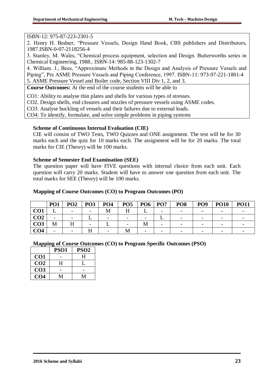### ISBN-12: 975-87-223-2301-5

2. Henry H. Bedner, "Pressure Vessels, Design Hand Book, CBS publishers and Distributors, 1987.ISBN-0-07-2118256-4

3. Stanley, M. Wales, "Chemical process equipment, selection and Design. Butterworths series in Chemical Engineering, 1988.. ISBN-14: 985-88-123-1302-7

4. William. J., Bees, "Approximate Methods in the Design and Analysis of Pressure Vessels and Piping", Pre ASME Pressure Vessels and Piping Conference, 1997. ISBN-11: 973-97-221-1801-4 5. ASME Pressure Vessel and Boiler code, Section VIII Div 1, 2, and 3.

**Course Outcomes:** At the end of the course students will be able to

CO1: Ability to analyse thin plates and shells for various types of stresses.

CO2. Design shells, end closures and nozzles of pressure vessels using ASME codes.

CO3. Analyse buckling of vessels and their failures due to external loads.

CO4: To identify, formulate, and solve simple problems in piping systems

### **Scheme of Continuous Internal Evaluation (CIE)**

CIE will consist of TWO Tests, TWO Quizzes and ONE assignment. The test will be for 30 marks each and the quiz for 10 marks each. The assignment will be for 20 marks. The total marks for CIE (Theory) will be 100 marks.

### **Scheme of Semester End Examination (SEE)**

The question paper will have FIVE questions with internal choice from each unit. Each question will carry 20 marks. Student will have to answer one question from each unit. The total marks for SEE (Theory) will be 100 marks.

### **Mapping of Course Outcomes (CO) to Program Outcomes (PO)**

|                 | PO <sub>1</sub> | PO <sub>2</sub>          | PO <sub>3</sub>          | PO <sub>4</sub> | PO <sub>5</sub>          | PO <sub>6</sub>          | <b>PO7</b>               | PO <sub>8</sub> | PO <sub>9</sub>          | <b>PO10</b> | <b>PO11</b> |
|-----------------|-----------------|--------------------------|--------------------------|-----------------|--------------------------|--------------------------|--------------------------|-----------------|--------------------------|-------------|-------------|
| CO <sub>1</sub> |                 | $\overline{\phantom{0}}$ |                          | M               |                          |                          | $\overline{\phantom{0}}$ |                 | $\overline{\phantom{0}}$ |             |             |
| CO <sub>2</sub> |                 | $\overline{\phantom{0}}$ |                          |                 | $\overline{\phantom{0}}$ | $\overline{\phantom{0}}$ |                          |                 | -                        |             |             |
| CO <sub>3</sub> | M               |                          | $\overline{\phantom{0}}$ |                 |                          | M                        | $\overline{\phantom{0}}$ |                 | $\overline{\phantom{0}}$ |             |             |
| CO4             |                 |                          |                          |                 | M                        | $\overline{\phantom{0}}$ |                          |                 | $\overline{\phantom{0}}$ |             |             |

|                 | PSO1 | PSO <sub>2</sub> |
|-----------------|------|------------------|
| CO <sub>1</sub> |      | H                |
| CO <sub>2</sub> | н    |                  |
| CO <sub>3</sub> |      |                  |
| CO4             |      | M                |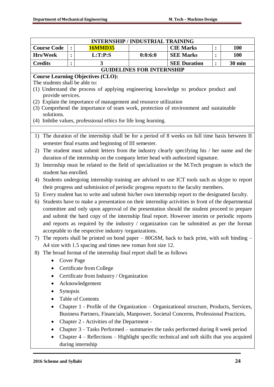|                                                                                       |                                                                                              |                | <b>INTERNSHIP / INDUSTRIAL TRAINING</b>                                                          |                                  |                     |                |               |  |  |  |
|---------------------------------------------------------------------------------------|----------------------------------------------------------------------------------------------|----------------|--------------------------------------------------------------------------------------------------|----------------------------------|---------------------|----------------|---------------|--|--|--|
| <b>Course Code</b>                                                                    |                                                                                              | $\ddot{\cdot}$ | <b>16MMD35</b>                                                                                   |                                  | <b>CIE Marks</b>    | $\ddot{\cdot}$ | <b>100</b>    |  |  |  |
| <b>Hrs/Week</b>                                                                       |                                                                                              | $\ddot{\cdot}$ | L:T:P:S                                                                                          | 0:0:6:0                          | <b>SEE Marks</b>    | $\ddot{\cdot}$ | <b>100</b>    |  |  |  |
| <b>Credits</b>                                                                        |                                                                                              | $\ddot{\cdot}$ | 3                                                                                                |                                  | <b>SEE Duration</b> | $\ddot{\cdot}$ | <b>30 min</b> |  |  |  |
|                                                                                       |                                                                                              |                |                                                                                                  | <b>GUIDELINES FOR INTERNSHIP</b> |                     |                |               |  |  |  |
|                                                                                       |                                                                                              |                | <b>Course Learning Objectives (CLO):</b>                                                         |                                  |                     |                |               |  |  |  |
| The students shall be able to:                                                        |                                                                                              |                |                                                                                                  |                                  |                     |                |               |  |  |  |
| provide services.                                                                     |                                                                                              |                | (1) Understand the process of applying engineering knowledge to produce product and              |                                  |                     |                |               |  |  |  |
|                                                                                       |                                                                                              |                | (2) Explain the importance of management and resource utilization                                |                                  |                     |                |               |  |  |  |
| (3) Comprehend the importance of team work, protection of environment and sustainable |                                                                                              |                |                                                                                                  |                                  |                     |                |               |  |  |  |
| solutions.                                                                            |                                                                                              |                |                                                                                                  |                                  |                     |                |               |  |  |  |
|                                                                                       |                                                                                              |                | (4) Imbibe values, professional ethics for life long learning.                                   |                                  |                     |                |               |  |  |  |
|                                                                                       |                                                                                              |                |                                                                                                  |                                  |                     |                |               |  |  |  |
| 1)                                                                                    |                                                                                              |                | The duration of the internship shall be for a period of 8 weeks on full time basis between II    |                                  |                     |                |               |  |  |  |
|                                                                                       |                                                                                              |                | semester final exams and beginning of III semester.                                              |                                  |                     |                |               |  |  |  |
| 2)                                                                                    |                                                                                              |                | The student must submit letters from the industry clearly specifying his / her name and the      |                                  |                     |                |               |  |  |  |
|                                                                                       |                                                                                              |                | duration of the internship on the company letter head with authorized signature.                 |                                  |                     |                |               |  |  |  |
| 3)                                                                                    |                                                                                              |                | Internship must be related to the field of specialization or the M.Tech program in which the     |                                  |                     |                |               |  |  |  |
|                                                                                       | student has enrolled.                                                                        |                |                                                                                                  |                                  |                     |                |               |  |  |  |
| 4)                                                                                    | Students undergoing internship training are advised to use ICT tools such as skype to report |                |                                                                                                  |                                  |                     |                |               |  |  |  |
|                                                                                       |                                                                                              |                | their progress and submission of periodic progress reports to the faculty members.               |                                  |                     |                |               |  |  |  |
| 5)                                                                                    |                                                                                              |                | Every student has to write and submit his/her own internship report to the designated faculty.   |                                  |                     |                |               |  |  |  |
| 6)                                                                                    |                                                                                              |                | Students have to make a presentation on their internship activities in front of the departmental |                                  |                     |                |               |  |  |  |
|                                                                                       |                                                                                              |                | committee and only upon approval of the presentation should the student proceed to prepare       |                                  |                     |                |               |  |  |  |
|                                                                                       |                                                                                              |                | and submit the hard copy of the internship final report. However interim or periodic reports     |                                  |                     |                |               |  |  |  |
|                                                                                       |                                                                                              |                | and reports as required by the industry / organization can be submitted as per the format        |                                  |                     |                |               |  |  |  |
|                                                                                       |                                                                                              |                | acceptable to the respective industry/organizations.                                             |                                  |                     |                |               |  |  |  |
| 7)                                                                                    |                                                                                              |                | The reports shall be printed on bond paper $-$ 80GSM, back to back print, with soft binding $-$  |                                  |                     |                |               |  |  |  |
|                                                                                       |                                                                                              |                | A4 size with 1.5 spacing and times new roman font size 12.                                       |                                  |                     |                |               |  |  |  |
| 8)                                                                                    |                                                                                              |                | The broad format of the internship final report shall be as follows                              |                                  |                     |                |               |  |  |  |
|                                                                                       |                                                                                              |                | <b>Cover Page</b>                                                                                |                                  |                     |                |               |  |  |  |
|                                                                                       |                                                                                              |                | Certificate from College                                                                         |                                  |                     |                |               |  |  |  |
|                                                                                       |                                                                                              |                | Certificate from Industry / Organization                                                         |                                  |                     |                |               |  |  |  |
|                                                                                       |                                                                                              |                | Acknowledgement                                                                                  |                                  |                     |                |               |  |  |  |
|                                                                                       | Synopsis                                                                                     |                |                                                                                                  |                                  |                     |                |               |  |  |  |
|                                                                                       |                                                                                              |                | <b>Table of Contents</b>                                                                         |                                  |                     |                |               |  |  |  |
|                                                                                       |                                                                                              |                | Chapter 1 - Profile of the Organization – Organizational structure, Products, Services,          |                                  |                     |                |               |  |  |  |
|                                                                                       |                                                                                              |                | Business Partners, Financials, Manpower, Societal Concerns, Professional Practices,              |                                  |                     |                |               |  |  |  |
| $\bullet$                                                                             |                                                                                              |                | Chapter 2 - Activities of the Department -                                                       |                                  |                     |                |               |  |  |  |
|                                                                                       |                                                                                              |                | Chapter 3 - Tasks Performed - summaries the tasks performed during 8 week period                 |                                  |                     |                |               |  |  |  |
|                                                                                       |                                                                                              |                | Chapter 4 – Reflections – Highlight specific technical and soft skills that you acquired         |                                  |                     |                |               |  |  |  |
|                                                                                       |                                                                                              |                | during internship                                                                                |                                  |                     |                |               |  |  |  |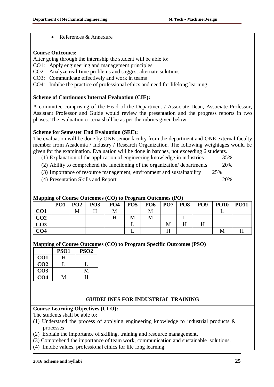• References & Annexure

### **Course Outcomes:**

After going through the internship the student will be able to:

- CO1: Apply engineering and management principles
- CO2: Analyze real-time problems and suggest alternate solutions
- CO3: Communicate effectively and work in teams
- CO4: Imbibe the practice of professional ethics and need for lifelong learning.

### **Scheme of Continuous Internal Evaluation (CIE):**

A committee comprising of the Head of the Department / Associate Dean, Associate Professor, Assistant Professor and Guide would review the presentation and the progress reports in two phases. The evaluation criteria shall be as per the rubrics given below:

### **Scheme for Semester End Evaluation (SEE):**

The evaluation will be done by ONE senior faculty from the department and ONE external faculty member from Academia / Industry / Research Organization. The following weightages would be given for the examination. Evaluation will be done in batches, not exceeding 6 students.

- (1) Explanation of the application of engineering knowledge in industries 35%
- (2) Ability to comprehend the functioning of the organization/ departments 20%
- (3) Importance of resource management, environment and sustainability 25%
- (4) Presentation Skills and Report 20%

### **Mapping of Course Outcomes (CO) to Program Outcomes (PO)**

|                 | <b>PO1</b> | PO <sub>2</sub> | PO <sub>3</sub> | $\frac{1}{2}$ . The components $\frac{1}{2}$ or $\frac{1}{2}$ . The components $\frac{1}{2}$ of $\frac{1}{2}$<br>PO <sub>4</sub> | PO <sub>5</sub> | <b>PO6</b> | <b>PO7</b> | <b>PO8</b> | PO <sub>9</sub> | <b>PO10</b> | <b>PO11</b> |
|-----------------|------------|-----------------|-----------------|----------------------------------------------------------------------------------------------------------------------------------|-----------------|------------|------------|------------|-----------------|-------------|-------------|
| CO <sub>1</sub> |            | М               |                 | М                                                                                                                                |                 | M          |            |            |                 |             |             |
| CO <sub>2</sub> |            |                 |                 |                                                                                                                                  | M               | M          |            |            |                 |             |             |
| CO <sub>3</sub> |            |                 |                 |                                                                                                                                  |                 |            | М          | H          |                 |             |             |
| CO <sub>4</sub> |            |                 |                 |                                                                                                                                  |                 |            | ТТ         |            |                 |             |             |

### **Mapping of Course Outcomes (CO) to Program Specific Outcomes (PSO)**

|                 | <b>PSO1</b> | PSO <sub>2</sub> |
|-----------------|-------------|------------------|
| CO <sub>1</sub> | н           |                  |
| CO <sub>2</sub> |             |                  |
| CO <sub>3</sub> |             |                  |
| CO4             |             |                  |

# **GUIDELINES FOR INDUSTRIAL TRAINING**

## **Course Learning Objectives (CLO):**

The students shall be able to:

- (1) Understand the process of applying engineering knowledge to industrial products & processes
- (2) Explain the importance of skilling, training and resource management.
- (3) Comprehend the importance of team work, communication and sustainable solutions.
- (4) Imbibe values, professional ethics for life long learning.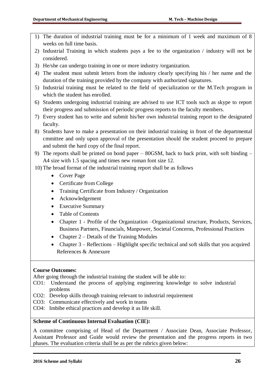- 1) The duration of industrial training must be for a minimum of 1 week and maximum of 8 weeks on full time basis.
- 2) Industrial Training in which students pays a fee to the organization / industry will not be considered.
- 3) He/she can undergo training in one or more industry /organization.
- 4) The student must submit letters from the industry clearly specifying his / her name and the duration of the training provided by the company with authorized signatures.
- 5) Industrial training must be related to the field of specialization or the M.Tech program in which the student has enrolled.
- 6) Students undergoing industrial training are advised to use ICT tools such as skype to report their progress and submission of periodic progress reports to the faculty members.
- 7) Every student has to write and submit his/her own industrial training report to the designated faculty.
- 8) Students have to make a presentation on their industrial training in front of the departmental cmmittee and only upon approval of the presentation should the student proceed to prepare and submit the hard copy of the final report.
- 9) The reports shall be printed on bond paper 80GSM, back to back print, with soft binding A4 size with 1.5 spacing and times new roman font size 12.
- 10) The broad format of the industrial training report shall be as follows
	- Cover Page
	- Certificate from College
	- Training Certificate from Industry / Organization
	- Acknowledgement
	- Executive Summary
	- Table of Contents
	- Chapter 1 Profile of the Organization –Organizational structure, Products, Services, Business Partners, Financials, Manpower, Societal Concerns, Professional Practices
	- Chapter  $2$  Details of the Training Modules
	- Chapter  $3 -$  Reflections Highlight specific technical and soft skills that you acquired References & Annexure

## **Course Outcomes:**

After going through the industrial training the student will be able to:

- CO1: Understand the process of applying engineering knowledge to solve industrial problems
- CO2: Develop skills through training relevant to industrial requirement
- CO3: Communicate effectively and work in teams
- CO4: Imbibe ethical practices and develop it as life skill.

### **Scheme of Continuous Internal Evaluation (CIE):**

A committee comprising of Head of the Department / Associate Dean, Associate Professor, Assistant Professor and Guide would review the presentation and the progress reports in two phases. The evaluation criteria shall be as per the rubrics given below: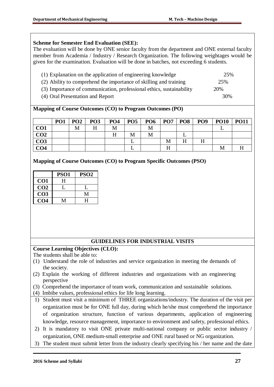## **Scheme for Semester End Evaluation (SEE):**

The evaluation will be done by ONE senior faculty from the department and ONE external faculty member from Academia / Industry / Research Organization. The following weightages would be given for the examination. Evaluation will be done in batches, not exceeding 6 students.

- (1) Explanation on the application of engineering knowledge 25% (2) Ability to comprehend the importance of skilling and training 25% (3) Importance of communication, professional ethics, sustainability 20%
- (4) Oral Presentation and Report 30%
- 

| Mapping of Course Outcomes (CO) to Program Outcomes (PO) |  |  |  |
|----------------------------------------------------------|--|--|--|
|----------------------------------------------------------|--|--|--|

|                 | PO <sub>1</sub> | PO <sub>2</sub> | PO <sub>3</sub> | PO <sub>4</sub> | PO <sub>5</sub> | PO <sub>6</sub> | PO <sub>7</sub> | PO <sub>8</sub> | PO <sub>9</sub> | <b>PO10</b> | <b>PO11</b> |
|-----------------|-----------------|-----------------|-----------------|-----------------|-----------------|-----------------|-----------------|-----------------|-----------------|-------------|-------------|
| CO <sub>1</sub> |                 | М               |                 | М               |                 | M               |                 |                 |                 |             |             |
| CO <sub>2</sub> |                 |                 |                 | Н               | М               | M               |                 |                 |                 |             |             |
| CO <sub>3</sub> |                 |                 |                 |                 |                 |                 | M               |                 |                 |             |             |
| CO <sub>4</sub> |                 |                 |                 |                 |                 |                 | H               |                 |                 | M           |             |

**Mapping of Course Outcomes (CO) to Program Specific Outcomes (PSO)**

|                 | PSO <sub>1</sub> | <b>PSO2</b> |
|-----------------|------------------|-------------|
| CO <sub>1</sub> | H                |             |
| CO <sub>2</sub> |                  |             |
| CO <sub>3</sub> |                  | М           |
| CO <sub>4</sub> |                  | H           |

## **GUIDELINES FOR INDUSTRIAL VISITS**

## **Course Learning Objectives (CLO):**

The students shall be able to:

- (1) Understand the role of industries and service organization in meeting the demands of the society.
- (2) Explain the working of different industries and organizations with an engineering perspective
- (3) Comprehend the importance of team work, communication and sustainable solutions.
- (4) Imbibe values, professional ethics for life long learning.
- 1) Student must visit a minimum of THREE organizations/industry. The duration of the visit per organization must be for ONE full day, during which he/she must comprehend the importance of organization structure, function of various departments, application of engineering knowledge, resource management, importance to environment and safety, professional ethics.
- 2) It is mandatory to visit ONE private multi-national company or public sector industry / organization, ONE medium-small enterprise and ONE rural based or NG organization.
- 3) The student must submit letter from the industry clearly specifying his / her name and the date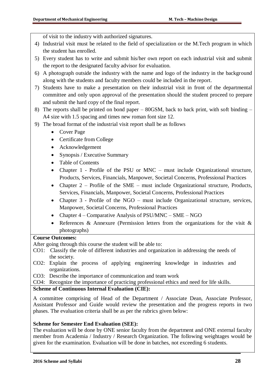of visit to the industry with authorized signatures.

- 4) Industrial visit must be related to the field of specialization or the M.Tech program in which the student has enrolled.
- 5) Every student has to write and submit his/her own report on each industrial visit and submit the report to the designated faculty advisor for evaluation.
- 6) A photograph outside the industry with the name and logo of the industry in the background along with the students and faculty members could be included in the report.
- 7) Students have to make a presentation on their industrial visit in front of the departmental committee and only upon approval of the presentation should the student proceed to prepare and submit the hard copy of the final report.
- 8) The reports shall be printed on bond paper 80GSM, back to back print, with soft binding A4 size with 1.5 spacing and times new roman font size 12.
- 9) The broad format of the industrial visit report shall be as follows
	- Cover Page
	- Certificate from College
	- Acknowledgement
	- Synopsis / Executive Summary
	- Table of Contents
	- Chapter 1 Profile of the PSU or MNC must include Organizational structure, Products, Services, Financials, Manpower, Societal Concerns, Professional Practices
	- Chapter 2 Profile of the SME must include Organizational structure, Products, Services, Financials, Manpower, Societal Concerns, Professional Practices
	- Chapter 3 Profile of the NGO must include Organizational structure, services, Manpower, Societal Concerns, Professional Practices
	- Chapter  $4$  Comparative Analysis of PSU/MNC SME NGO
	- References & Annexure (Permission letters from the organizations for the visit & photographs)

## **Course Outcomes:**

After going through this course the student will be able to:

- CO1: Classify the role of different industries and organization in addressing the needs of the society.
- CO2: Explain the process of applying engineering knowledge in industries and organizations.
- CO3: Describe the importance of communication and team work

CO4: Recognize the importance of practicing professional ethics and need for life skills.

## **Scheme of Continuous Internal Evaluation (CIE):**

A committee comprising of Head of the Department / Associate Dean, Associate Professor, Assistant Professor and Guide would review the presentation and the progress reports in two phases. The evaluation criteria shall be as per the rubrics given below:

## **Scheme for Semester End Evaluation (SEE):**

The evaluation will be done by ONE senior faculty from the department and ONE external faculty member from Academia / Industry / Research Organization. The following weightages would be given for the examination. Evaluation will be done in batches, not exceeding 6 students.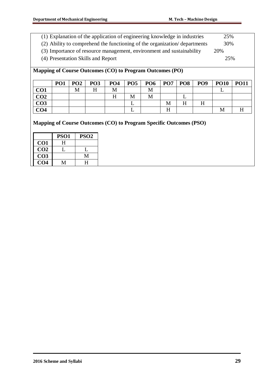- (1) Explanation of the application of engineering knowledge in industries 25%
- (2) Ability to comprehend the functioning of the organization/ departments 30%
- (3) Importance of resource management, environment and sustainability 20%
- (4) Presentation Skills and Report 25%

**Mapping of Course Outcomes (CO) to Program Outcomes (PO)**

|                 | PO <sub>1</sub> | PO <sub>2</sub> | PO <sub>3</sub> | PO <sub>4</sub> | <b>PO5</b> | PO <sub>6</sub> | $PO7$ PO8 |   | PO <sub>9</sub> | <b>PO10</b> | <b>PO11</b> |
|-----------------|-----------------|-----------------|-----------------|-----------------|------------|-----------------|-----------|---|-----------------|-------------|-------------|
| CO <sub>1</sub> |                 | M               | п               | М               |            | M               |           |   |                 |             |             |
| CO <sub>2</sub> |                 |                 |                 |                 | М          | Μ               |           |   |                 |             |             |
| CO <sub>3</sub> |                 |                 |                 |                 |            |                 | М         | п | H               |             |             |
| CO <sub>4</sub> |                 |                 |                 |                 |            |                 |           |   |                 | M           |             |

|                 | PSO <sub>1</sub> | <b>PSO2</b> |
|-----------------|------------------|-------------|
| CO <sub>1</sub> | H                |             |
| CO <sub>2</sub> |                  |             |
| CO <sub>3</sub> |                  |             |
| CO <sub>4</sub> |                  | H           |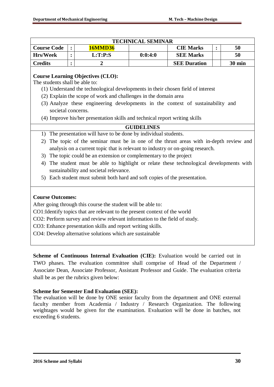|                    | <b>TECHNICAL SEMINAR</b> |                |         |                     |  |                  |  |  |
|--------------------|--------------------------|----------------|---------|---------------------|--|------------------|--|--|
| <b>Course Code</b> |                          | <b>16MMD36</b> |         | <b>CIE Marks</b>    |  | 50               |  |  |
| <b>Hrs/Week</b>    |                          | L:T:PS         | 0:0:4:0 | <b>SEE Marks</b>    |  | 50               |  |  |
| <b>Credits</b>     |                          |                |         | <b>SEE Duration</b> |  | $30 \text{ min}$ |  |  |
|                    |                          |                |         |                     |  |                  |  |  |

### **Course Learning Objectives (CLO):**

The students shall be able to:

- (1) Understand the technological developments in their chosen field of interest
- (2) Explain the scope of work and challenges in the domain area
- (3) Analyze these engineering developments in the context of sustainability and societal concerns.
- (4) Improve his/her presentation skills and technical report writing skills

### **GUIDELINES**

- 1) The presentation will have to be done by individual students.
- 2) The topic of the seminar must be in one of the thrust areas with in-depth review and analysis on a current topic that is relevant to industry or on-going research.
- 3) The topic could be an extension or complementary to the project
- 4) The student must be able to highlight or relate these technological developments with sustainability and societal relevance.
- 5) Each student must submit both hard and soft copies of the presentation.

### **Course Outcomes:**

After going through this course the student will be able to:

CO1:Identify topics that are relevant to the present context of the world

CO2: Perform survey and review relevant information to the field of study.

CO3: Enhance presentation skills and report writing skills.

CO4: Develop alternative solutions which are sustainable

**Scheme of Continuous Internal Evaluation (CIE):** Evaluation would be carried out in TWO phases. The evaluation committee shall comprise of Head of the Department / Associate Dean, Associate Professor, Assistant Professor and Guide. The evaluation criteria shall be as per the rubrics given below:

## **Scheme for Semester End Evaluation (SEE):**

The evaluation will be done by ONE senior faculty from the department and ONE external faculty member from Academia / Industry / Research Organization. The following weightages would be given for the examination. Evaluation will be done in batches, not exceeding 6 students.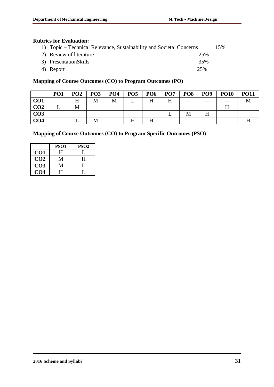## **Rubrics for Evaluation:**

| 1) Topic – Technical Relevance, Sustainability and Societal Concerns |     | 15% |
|----------------------------------------------------------------------|-----|-----|
| 2) Review of literature                                              | 25% |     |
| 3) PresentationSkills                                                | 35% |     |
| 4) Report                                                            | 25% |     |

# **Mapping of Course Outcomes (CO) to Program Outcomes (PO)**

|                 | PO <sub>1</sub> | PO <sub>2</sub> | PO <sub>3</sub> | PO <sub>4</sub> | PO <sub>5</sub> | <b>PO6</b> | PO <sub>7</sub> | PO <sub>8</sub> | PO <sub>9</sub> | <b>PO10</b> | <b>PO11</b> |
|-----------------|-----------------|-----------------|-----------------|-----------------|-----------------|------------|-----------------|-----------------|-----------------|-------------|-------------|
| CO1             |                 |                 | M               |                 |                 | т т        | H               | $- -$           | $- - -$         |             |             |
| CO <sub>2</sub> |                 | M               |                 |                 |                 |            |                 |                 |                 |             |             |
| CO <sub>3</sub> |                 |                 |                 |                 |                 |            |                 | Μ               | H               |             |             |
| CO <sub>4</sub> |                 |                 | M               |                 |                 | т т        |                 |                 |                 |             |             |

|                 | PSO <sub>1</sub> | PSO <sub>2</sub> |
|-----------------|------------------|------------------|
| CO <sub>1</sub> | H                |                  |
| CO <sub>2</sub> | $\mathsf{M}$     | H                |
| CO <sub>3</sub> | М                |                  |
| CO4             | H                |                  |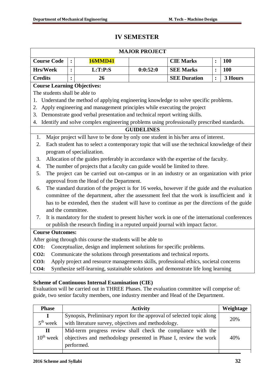# **IV SEMESTER**

|                         |                                                                                       |                |                                                                                                 | <b>MAJOR PROJECT</b> |                     |                |            |  |  |
|-------------------------|---------------------------------------------------------------------------------------|----------------|-------------------------------------------------------------------------------------------------|----------------------|---------------------|----------------|------------|--|--|
| <b>Course Code</b>      |                                                                                       | $\ddot{\cdot}$ | <b>16MMD41</b>                                                                                  |                      | <b>CIE Marks</b>    | $\ddot{\cdot}$ | <b>100</b> |  |  |
| <b>Hrs/Week</b>         |                                                                                       | $\ddot{\cdot}$ | L:T:P:S                                                                                         | 0:0:52:0             | <b>SEE Marks</b>    | $\ddot{\cdot}$ | 100        |  |  |
| <b>Credits</b>          |                                                                                       | $\ddot{\cdot}$ | 26                                                                                              |                      | <b>SEE Duration</b> | $\ddot{\cdot}$ | 3 Hours    |  |  |
|                         |                                                                                       |                | <b>Course Learning Objectives:</b>                                                              |                      |                     |                |            |  |  |
|                         |                                                                                       |                | The students shall be able to                                                                   |                      |                     |                |            |  |  |
| 1.                      |                                                                                       |                | Understand the method of applying engineering knowledge to solve specific problems.             |                      |                     |                |            |  |  |
| 2.                      |                                                                                       |                | Apply engineering and management principles while executing the project                         |                      |                     |                |            |  |  |
|                         |                                                                                       |                | 3. Demonstrate good verbal presentation and technical report writing skills.                    |                      |                     |                |            |  |  |
|                         |                                                                                       |                | 4. Identify and solve complex engineering problems using professionally prescribed standards.   |                      |                     |                |            |  |  |
|                         |                                                                                       |                |                                                                                                 | <b>GUIDELINES</b>    |                     |                |            |  |  |
| 1.                      |                                                                                       |                | Major project will have to be done by only one student in his/her area of interest.             |                      |                     |                |            |  |  |
| 2.                      |                                                                                       |                | Each student has to select a contemporary topic that will use the technical knowledge of their  |                      |                     |                |            |  |  |
|                         |                                                                                       |                | program of specialization.                                                                      |                      |                     |                |            |  |  |
| 3.                      |                                                                                       |                | Allocation of the guides preferably in accordance with the expertise of the faculty.            |                      |                     |                |            |  |  |
| 4.                      |                                                                                       |                | The number of projects that a faculty can guide would be limited to three.                      |                      |                     |                |            |  |  |
| 5.                      |                                                                                       |                | The project can be carried out on-campus or in an industry or an organization with prior        |                      |                     |                |            |  |  |
|                         |                                                                                       |                | approval from the Head of the Department.                                                       |                      |                     |                |            |  |  |
| 6.                      |                                                                                       |                | The standard duration of the project is for 16 weeks, however if the guide and the evaluation   |                      |                     |                |            |  |  |
|                         |                                                                                       |                | committee of the department, after the assessment feel that the work is insufficient and it     |                      |                     |                |            |  |  |
|                         |                                                                                       |                | has to be extended, then the student will have to continue as per the directions of the guide   |                      |                     |                |            |  |  |
|                         | and the committee.                                                                    |                |                                                                                                 |                      |                     |                |            |  |  |
| 7.                      |                                                                                       |                | It is mandatory for the student to present his/her work in one of the international conferences |                      |                     |                |            |  |  |
|                         |                                                                                       |                | or publish the research finding in a reputed unpaid journal with impact factor.                 |                      |                     |                |            |  |  |
| <b>Course Outcomes:</b> |                                                                                       |                |                                                                                                 |                      |                     |                |            |  |  |
|                         |                                                                                       |                | After going through this course the students will be able to                                    |                      |                     |                |            |  |  |
| <b>CO1:</b>             |                                                                                       |                | Conceptualize, design and implement solutions for specific problems.                            |                      |                     |                |            |  |  |
| <b>CO2:</b>             | Communicate the solutions through presentations and technical reports.                |                |                                                                                                 |                      |                     |                |            |  |  |
| <b>CO3:</b>             | Apply project and resource managements skills, professional ethics, societal concerns |                |                                                                                                 |                      |                     |                |            |  |  |
| <b>CO4:</b>             |                                                                                       |                | Synthesize self-learning, sustainable solutions and demonstrate life long learning              |                      |                     |                |            |  |  |
|                         | <b>Scheme of Continuous Internal Examination (CIE)</b>                                |                |                                                                                                 |                      |                     |                |            |  |  |

Evaluation will be carried out in THREE Phases. The evaluation committee will comprise of: guide, two senior faculty members, one industry member and Head of the Department.

| <b>Phase</b>   | <b>Activity</b>                                                                | Weightage |
|----------------|--------------------------------------------------------------------------------|-----------|
| $\bf{I}$       | Synopsis, Preliminary report for the approval of selected topic along          | 20%       |
| $5th$ week     | with literature survey, objectives and methodology.                            |           |
| $\mathbf{I}$   | Mid-term progress review shall check the compliance with the                   |           |
| $10^{th}$ week | objectives and methodology presented in Phase I, review the work<br>performed. | 40%       |
|                |                                                                                |           |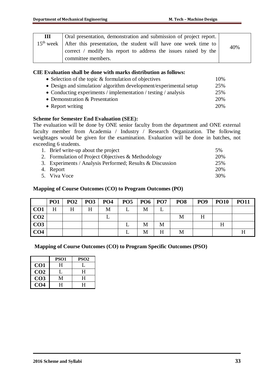| Ш | Oral presentation, demonstration and submission of project report.            |     |
|---|-------------------------------------------------------------------------------|-----|
|   | $15th$ week   After this presentation, the student will have one week time to | 40% |
|   | correct / modify his report to address the issues raised by the               |     |
|   | committee members.                                                            |     |

### **CIE Evaluation shall be done with marks distribution as follows:**

| • Selection of the topic $&$ formulation of objectives           | 10% |
|------------------------------------------------------------------|-----|
| • Design and simulation/algorithm development/experimental setup | 25% |
| • Conducting experiments / implementation / testing / analysis   | 25% |
| • Demonstration $&$ Presentation                                 | 20% |
| • Report writing                                                 | 20% |

### **Scheme for Semester End Evaluation (SEE):**

The evaluation will be done by ONE senior faculty from the department and ONE external faculty member from Academia / Industry / Research Organization. The following weightages would be given for the examination. Evaluation will be done in batches, not exceeding 6 students.

| 1. Brief write-up about the project                       | 5%  |
|-----------------------------------------------------------|-----|
| 2. Formulation of Project Objectives & Methodology        | 20% |
| 3. Experiments / Analysis Performed; Results & Discussion | 25% |
| 4. Report                                                 | 20% |
| 5. Viva Voce                                              | 30% |

### **Mapping of Course Outcomes (CO) to Program Outcomes (PO)**

|                 | PO1 | PO2 | $PO3$ PO4 |   | PO5   PO6   PO7 |   | PO <sub>8</sub> | PO <sub>9</sub> | <b>PO10</b> | <b>PO11</b> |
|-----------------|-----|-----|-----------|---|-----------------|---|-----------------|-----------------|-------------|-------------|
| CO <sub>1</sub> | H   | H   | H         | M | М               | ⊥ |                 |                 |             |             |
| CO2             |     |     |           |   |                 |   | M               | H               |             |             |
| CO <sub>3</sub> |     |     |           |   | M               | M |                 |                 | Η           |             |
| CO <sub>4</sub> |     |     |           |   | М               | Η | M               |                 |             |             |

|                 | PSO <sub>1</sub> | PSO <sub>2</sub> |
|-----------------|------------------|------------------|
| CO1             | H                |                  |
| CO <sub>2</sub> |                  | н                |
| CO <sub>3</sub> |                  | H                |
| CO4             | н                | H                |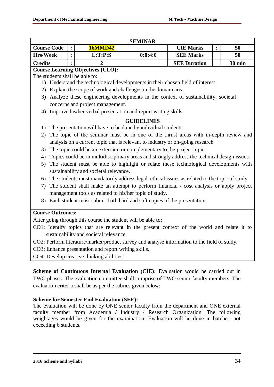|                                           |                |                                                                                                  | <b>SEMINAR</b>    |                     |                |               |
|-------------------------------------------|----------------|--------------------------------------------------------------------------------------------------|-------------------|---------------------|----------------|---------------|
| <b>Course Code</b>                        | $\ddot{\cdot}$ | <b>16MMD42</b>                                                                                   |                   | <b>CIE Marks</b>    | $\ddot{\cdot}$ | 50            |
| <b>Hrs/Week</b>                           | :              | L:T:P:S                                                                                          | 0:0:4:0           | <b>SEE Marks</b>    |                | 50            |
| <b>Credits</b>                            |                | 2                                                                                                |                   | <b>SEE Duration</b> |                | <b>30 min</b> |
|                                           |                | <b>Course Learning Objectives (CLO):</b>                                                         |                   |                     |                |               |
| The students shall be able to:            |                |                                                                                                  |                   |                     |                |               |
|                                           |                | 1) Understand the technological developments in their chosen field of interest                   |                   |                     |                |               |
|                                           |                | 2) Explain the scope of work and challenges in the domain area                                   |                   |                     |                |               |
|                                           |                | 3) Analyze these engineering developments in the context of sustainability, societal             |                   |                     |                |               |
|                                           |                | concerns and project management.                                                                 |                   |                     |                |               |
|                                           |                | 4) Improve his/her verbal presentation and report writing skills                                 |                   |                     |                |               |
|                                           |                |                                                                                                  | <b>GUIDELINES</b> |                     |                |               |
|                                           |                | 1) The presentation will have to be done by individual students.                                 |                   |                     |                |               |
| 2)                                        |                | The topic of the seminar must be in one of the thrust areas with in-depth review and             |                   |                     |                |               |
|                                           |                | analysis on a current topic that is relevant to industry or on-going research.                   |                   |                     |                |               |
|                                           |                | 3) The topic could be an extension or complementary to the project topic.                        |                   |                     |                |               |
|                                           |                | 4) Topics could be in multidisciplinary areas and strongly address the technical design issues.  |                   |                     |                |               |
|                                           |                | 5) The student must be able to highlight or relate these technological developments with         |                   |                     |                |               |
|                                           |                | sustainability and societal relevance.                                                           |                   |                     |                |               |
|                                           |                | 6) The students must mandatorily address legal, ethical issues as related to the topic of study. |                   |                     |                |               |
| 7).                                       |                | The student shall make an attempt to perform financial / cost analysis or apply project          |                   |                     |                |               |
|                                           |                | management tools as related to his/her topic of study.                                           |                   |                     |                |               |
|                                           |                | 8) Each student must submit both hard and soft copies of the presentation.                       |                   |                     |                |               |
|                                           |                |                                                                                                  |                   |                     |                |               |
| <b>Course Outcomes:</b>                   |                |                                                                                                  |                   |                     |                |               |
|                                           |                | After going through this course the student will be able to:                                     |                   |                     |                |               |
|                                           |                | CO1: Identify topics that are relevant in the present context of the world and relate it to      |                   |                     |                |               |
|                                           |                | sustainability and societal relevance.                                                           |                   |                     |                |               |
|                                           |                | CO2: Perform literature/market/product survey and analyse information to the field of study.     |                   |                     |                |               |
|                                           |                | CO3: Enhance presentation and report writing skills.                                             |                   |                     |                |               |
| CO4: Develop creative thinking abilities. |                |                                                                                                  |                   |                     |                |               |

**Stermal Evaluation (CIE):** Evaluation would be carried out in TWO phases. The evaluation committee shall comprise of TWO senior faculty members. The evaluation criteria shall be as per the rubrics given below:

## **Scheme for Semester End Evaluation (SEE):**

The evaluation will be done by ONE senior faculty from the department and ONE external faculty member from Academia / Industry / Research Organization. The following weightages would be given for the examination. Evaluation will be done in batches, not exceeding 6 students.